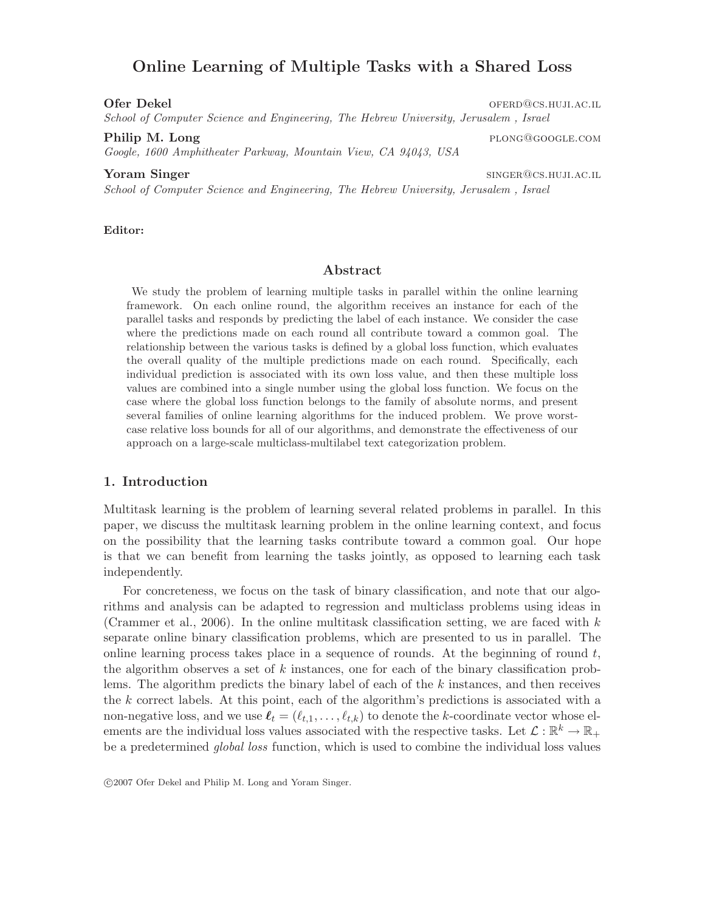# Online Learning of Multiple Tasks with a Shared Loss

Ofer Dekel of the contract of the contract of the contract of the contract of the contract of the contract of the contract of the contract of the contract of the contract of the contract of the contract of the contract of

School of Computer Science and Engineering, The Hebrew University, Jerusalem , Israel

Google, 1600 Amphitheater Parkway, Mountain View, CA 94043, USA

# **Yoram Singer** single single single single single single single single single single single single single single single single single single single single single single single single single single single single single sing

School of Computer Science and Engineering, The Hebrew University, Jerusalem , Israel

#### Editor:

# Abstract

We study the problem of learning multiple tasks in parallel within the online learning framework. On each online round, the algorithm receives an instance for each of the parallel tasks and responds by predicting the label of each instance. We consider the case where the predictions made on each round all contribute toward a common goal. The relationship between the various tasks is defined by a global loss function, which evaluates the overall quality of the multiple predictions made on each round. Specifically, each individual prediction is associated with its own loss value, and then these multiple loss values are combined into a single number using the global loss function. We focus on the case where the global loss function belongs to the family of absolute norms, and present several families of online learning algorithms for the induced problem. We prove worstcase relative loss bounds for all of our algorithms, and demonstrate the effectiveness of our approach on a large-scale multiclass-multilabel text categorization problem.

# 1. Introduction

Multitask learning is the problem of learning several related problems in parallel. In this paper, we discuss the multitask learning problem in the online learning context, and focus on the possibility that the learning tasks contribute toward a common goal. Our hope is that we can benefit from learning the tasks jointly, as opposed to learning each task independently.

For concreteness, we focus on the task of binary classification, and note that our algorithms and analysis can be adapted to regression and multiclass problems using ideas in (Crammer et al., 2006). In the online multitask classification setting, we are faced with  $k$ separate online binary classification problems, which are presented to us in parallel. The online learning process takes place in a sequence of rounds. At the beginning of round  $t$ , the algorithm observes a set of  $k$  instances, one for each of the binary classification problems. The algorithm predicts the binary label of each of the  $k$  instances, and then receives the k correct labels. At this point, each of the algorithm's predictions is associated with a non-negative loss, and we use  $\ell_t = (\ell_{t,1}, \ldots, \ell_{t,k})$  to denote the k-coordinate vector whose elements are the individual loss values associated with the respective tasks. Let  $\mathcal{L}: \mathbb{R}^k \to \mathbb{R}_+$ be a predetermined global loss function, which is used to combine the individual loss values

c 2007 Ofer Dekel and Philip M. Long and Yoram Singer.

Philip M. Long plong plong plong plong plong plong plong plong plong plong plong plong plong plong plong plong plong plong plong plong plong plong plong plong plong plong plong plong plong plong plong plong plong plong plo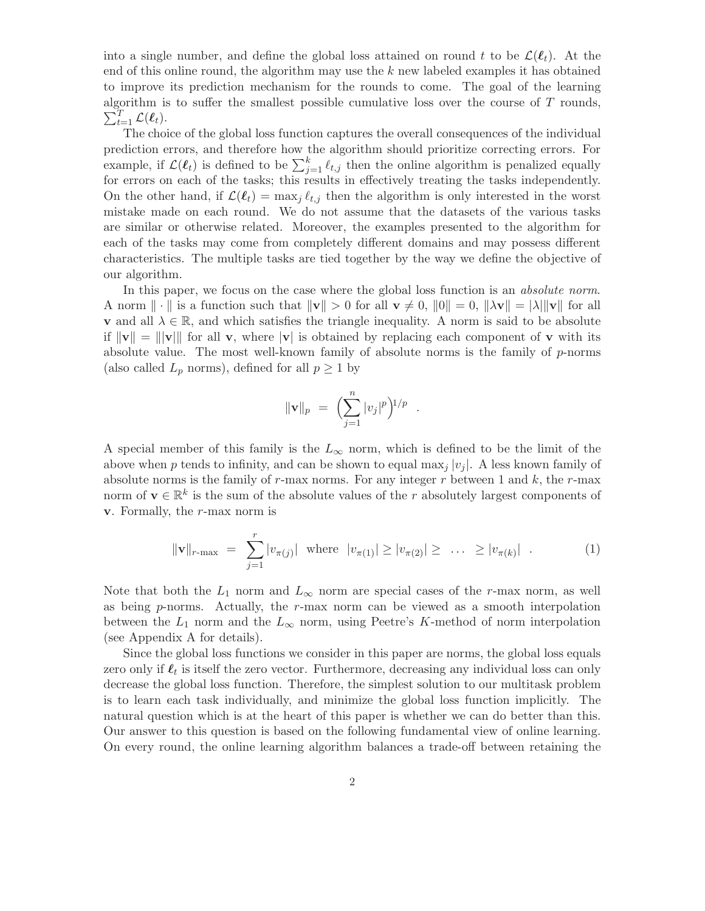into a single number, and define the global loss attained on round t to be  $\mathcal{L}(\ell_t)$ . At the end of this online round, the algorithm may use the  $k$  new labeled examples it has obtained to improve its prediction mechanism for the rounds to come. The goal of the learning algorithm is to suffer the smallest possible cumulative loss over the course of T rounds,  $\sum_{t=1}^T \mathcal{L}(\boldsymbol{\ell}_t).$ 

The choice of the global loss function captures the overall consequences of the individual prediction errors, and therefore how the algorithm should prioritize correcting errors. For example, if  $\mathcal{L}(\ell_t)$  is defined to be  $\sum_{j=1}^k \ell_{t,j}$  then the online algorithm is penalized equally for errors on each of the tasks; this results in effectively treating the tasks independently. On the other hand, if  $\mathcal{L}(\ell_t) = \max_i \ell_{t,i}$  then the algorithm is only interested in the worst mistake made on each round. We do not assume that the datasets of the various tasks are similar or otherwise related. Moreover, the examples presented to the algorithm for each of the tasks may come from completely different domains and may possess different characteristics. The multiple tasks are tied together by the way we define the objective of our algorithm.

In this paper, we focus on the case where the global loss function is an *absolute norm*. A norm  $\|\cdot\|$  is a function such that  $\|v\| > 0$  for all  $v \neq 0$ ,  $\|0\| = 0$ ,  $\|\lambda v\| = |\lambda| \|v\|$  for all **v** and all  $\lambda \in \mathbb{R}$ , and which satisfies the triangle inequality. A norm is said to be absolute if  $\|\mathbf{v}\| = \|\mathbf{v}\|$  for all v, where  $|\mathbf{v}|$  is obtained by replacing each component of v with its absolute value. The most well-known family of absolute norms is the family of p-norms (also called  $L_p$  norms), defined for all  $p \geq 1$  by

$$
\|\mathbf{v}\|_p = \left(\sum_{j=1}^n |v_j|^p\right)^{1/p} .
$$

A special member of this family is the  $L_{\infty}$  norm, which is defined to be the limit of the above when p tends to infinity, and can be shown to equal max<sub>i</sub>  $|v_i|$ . A less known family of absolute norms is the family of  $r$ -max norms. For any integer  $r$  between 1 and  $k$ , the  $r$ -max norm of  $\mathbf{v} \in \mathbb{R}^k$  is the sum of the absolute values of the r absolutely largest components of  $v.$  Formally, the  $r$ -max norm is

$$
\|\mathbf{v}\|_{r-\max} = \sum_{j=1}^r |v_{\pi(j)}| \text{ where } |v_{\pi(1)}| \ge |v_{\pi(2)}| \ge \dots \ge |v_{\pi(k)}| . \tag{1}
$$

Note that both the  $L_1$  norm and  $L_{\infty}$  norm are special cases of the r-max norm, as well as being  $p$ -norms. Actually, the  $r$ -max norm can be viewed as a smooth interpolation between the  $L_1$  norm and the  $L_{\infty}$  norm, using Peetre's K-method of norm interpolation (see Appendix A for details).

Since the global loss functions we consider in this paper are norms, the global loss equals zero only if  $\ell_t$  is itself the zero vector. Furthermore, decreasing any individual loss can only decrease the global loss function. Therefore, the simplest solution to our multitask problem is to learn each task individually, and minimize the global loss function implicitly. The natural question which is at the heart of this paper is whether we can do better than this. Our answer to this question is based on the following fundamental view of online learning. On every round, the online learning algorithm balances a trade-off between retaining the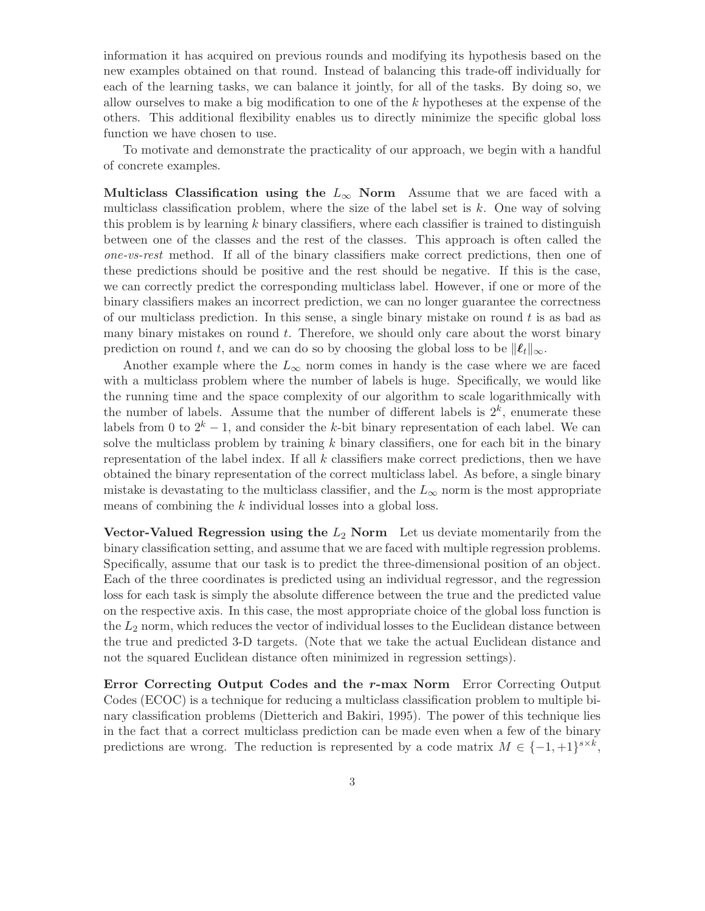information it has acquired on previous rounds and modifying its hypothesis based on the new examples obtained on that round. Instead of balancing this trade-off individually for each of the learning tasks, we can balance it jointly, for all of the tasks. By doing so, we allow ourselves to make a big modification to one of the k hypotheses at the expense of the others. This additional flexibility enables us to directly minimize the specific global loss function we have chosen to use.

To motivate and demonstrate the practicality of our approach, we begin with a handful of concrete examples.

Multiclass Classification using the  $L_{\infty}$  Norm Assume that we are faced with a multiclass classification problem, where the size of the label set is  $k$ . One way of solving this problem is by learning  $k$  binary classifiers, where each classifier is trained to distinguish between one of the classes and the rest of the classes. This approach is often called the one-vs-rest method. If all of the binary classifiers make correct predictions, then one of these predictions should be positive and the rest should be negative. If this is the case, we can correctly predict the corresponding multiclass label. However, if one or more of the binary classifiers makes an incorrect prediction, we can no longer guarantee the correctness of our multiclass prediction. In this sense, a single binary mistake on round t is as bad as many binary mistakes on round  $t$ . Therefore, we should only care about the worst binary prediction on round t, and we can do so by choosing the global loss to be  $\|\ell_t\|_{\infty}$ .

Another example where the  $L_{\infty}$  norm comes in handy is the case where we are faced with a multiclass problem where the number of labels is huge. Specifically, we would like the running time and the space complexity of our algorithm to scale logarithmically with the number of labels. Assume that the number of different labels is  $2^k$ , enumerate these labels from 0 to  $2^k - 1$ , and consider the k-bit binary representation of each label. We can solve the multiclass problem by training  $k$  binary classifiers, one for each bit in the binary representation of the label index. If all  $k$  classifiers make correct predictions, then we have obtained the binary representation of the correct multiclass label. As before, a single binary mistake is devastating to the multiclass classifier, and the  $L_{\infty}$  norm is the most appropriate means of combining the k individual losses into a global loss.

Vector-Valued Regression using the  $L_2$  Norm Let us deviate momentarily from the binary classification setting, and assume that we are faced with multiple regression problems. Specifically, assume that our task is to predict the three-dimensional position of an object. Each of the three coordinates is predicted using an individual regressor, and the regression loss for each task is simply the absolute difference between the true and the predicted value on the respective axis. In this case, the most appropriate choice of the global loss function is the  $L_2$  norm, which reduces the vector of individual losses to the Euclidean distance between the true and predicted 3-D targets. (Note that we take the actual Euclidean distance and not the squared Euclidean distance often minimized in regression settings).

Error Correcting Output Codes and the r-max Norm Error Correcting Output Codes (ECOC) is a technique for reducing a multiclass classification problem to multiple binary classification problems (Dietterich and Bakiri, 1995). The power of this technique lies in the fact that a correct multiclass prediction can be made even when a few of the binary predictions are wrong. The reduction is represented by a code matrix  $M \in \{-1, +1\}^{s \times k}$ ,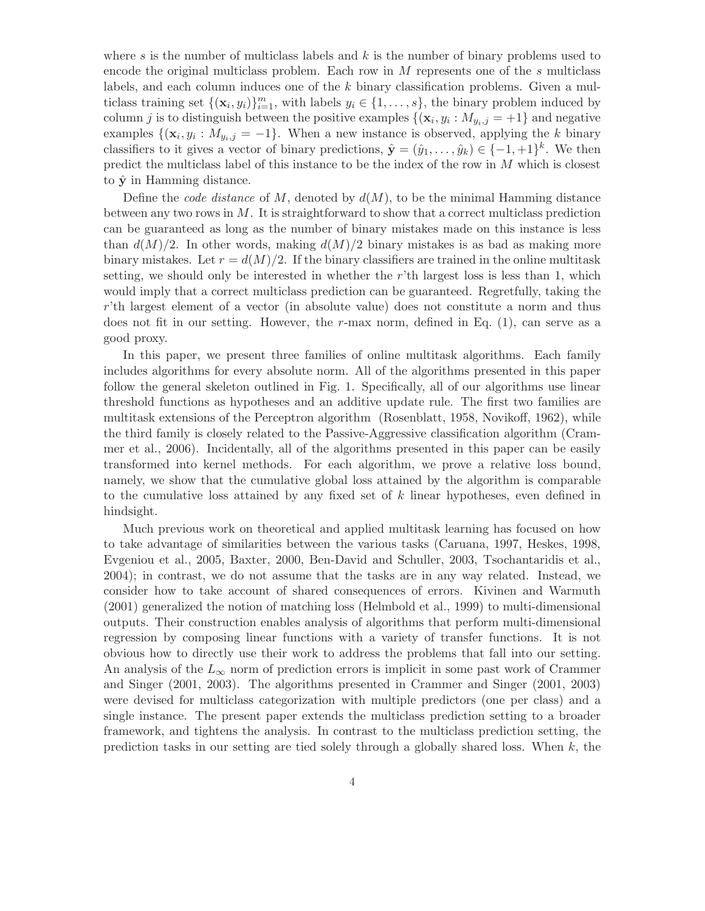where s is the number of multiclass labels and  $k$  is the number of binary problems used to encode the original multiclass problem. Each row in  $M$  represents one of the  $s$  multiclass labels, and each column induces one of the k binary classification problems. Given a multiclass training set  $\{(\mathbf{x}_i, y_i)\}_{i=1}^m$ , with labels  $y_i \in \{1, \ldots, s\}$ , the binary problem induced by column j is to distinguish between the positive examples  $\{(\mathbf{x}_i, y_i : M_{y_i,j} = +1\}$  and negative examples  $\{(\mathbf{x}_i, y_i : M_{y_i,j} = -1\}$ . When a new instance is observed, applying the k binary classifiers to it gives a vector of binary predictions,  $\hat{\mathbf{y}} = (\hat{y}_1, \dots, \hat{y}_k) \in \{-1, +1\}^k$ . We then predict the multiclass label of this instance to be the index of the row in  $M$  which is closest to  $\hat{\mathbf{y}}$  in Hamming distance.

Define the *code distance* of  $M$ , denoted by  $d(M)$ , to be the minimal Hamming distance between any two rows in  $M$ . It is straightforward to show that a correct multiclass prediction can be guaranteed as long as the number of binary mistakes made on this instance is less than  $d(M)/2$ . In other words, making  $d(M)/2$  binary mistakes is as bad as making more binary mistakes. Let  $r = d(M)/2$ . If the binary classifiers are trained in the online multitask setting, we should only be interested in whether the r'th largest loss is less than 1, which would imply that a correct multiclass prediction can be guaranteed. Regretfully, taking the r'th largest element of a vector (in absolute value) does not constitute a norm and thus does not fit in our setting. However, the r-max norm, defined in Eq. (1), can serve as a good proxy.

In this paper, we present three families of online multitask algorithms. Each family includes algorithms for every absolute norm. All of the algorithms presented in this paper follow the general skeleton outlined in Fig. 1. Specifically, all of our algorithms use linear threshold functions as hypotheses and an additive update rule. The first two families are multitask extensions of the Perceptron algorithm (Rosenblatt, 1958, Novikoff, 1962), while the third family is closely related to the Passive-Aggressive classification algorithm (Crammer et al., 2006). Incidentally, all of the algorithms presented in this paper can be easily transformed into kernel methods. For each algorithm, we prove a relative loss bound, namely, we show that the cumulative global loss attained by the algorithm is comparable to the cumulative loss attained by any fixed set of  $k$  linear hypotheses, even defined in hindsight.

Much previous work on theoretical and applied multitask learning has focused on how to take advantage of similarities between the various tasks (Caruana, 1997, Heskes, 1998, Evgeniou et al., 2005, Baxter, 2000, Ben-David and Schuller, 2003, Tsochantaridis et al., 2004); in contrast, we do not assume that the tasks are in any way related. Instead, we consider how to take account of shared consequences of errors. Kivinen and Warmuth (2001) generalized the notion of matching loss (Helmbold et al., 1999) to multi-dimensional outputs. Their construction enables analysis of algorithms that perform multi-dimensional regression by composing linear functions with a variety of transfer functions. It is not obvious how to directly use their work to address the problems that fall into our setting. An analysis of the  $L_{\infty}$  norm of prediction errors is implicit in some past work of Crammer and Singer (2001, 2003). The algorithms presented in Crammer and Singer (2001, 2003) were devised for multiclass categorization with multiple predictors (one per class) and a single instance. The present paper extends the multiclass prediction setting to a broader framework, and tightens the analysis. In contrast to the multiclass prediction setting, the prediction tasks in our setting are tied solely through a globally shared loss. When  $k$ , the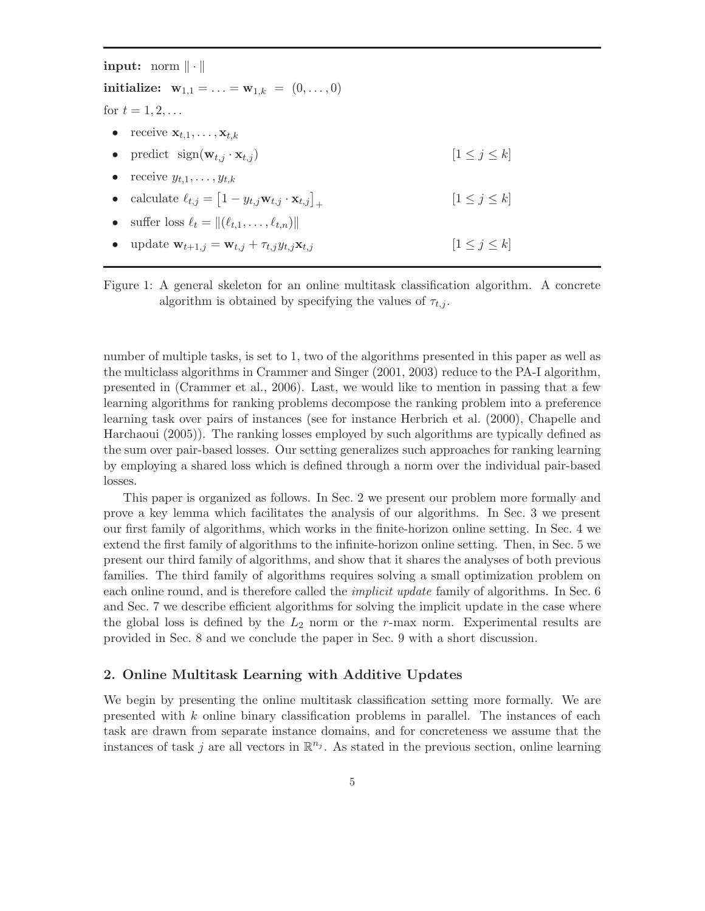input: norm  $\|\cdot\|$ initialize:  $w_{1,1} = ... = w_{1,k} = (0,...,0)$ for  $t = 1, 2, ...$ • receive  $\mathbf{x}_{t,1}, \ldots, \mathbf{x}_{t,k}$ • predict  $sign(\mathbf{w}_{t,j} \cdot \mathbf{x}_{t,j})$   $[1 \leq j \leq k]$ receive  $y_{t,1}, \ldots, y_{t,k}$ • calculate  $\ell_{t,j} = \left[1 - y_{t,j} \mathbf{w}_{t,j} \cdot \mathbf{x}_{t,j}\right]_+$  $[1 \leq j \leq k]$ suffer loss  $\ell_t = ||(\ell_{t,1}, \ldots, \ell_{t,n})||$ update  $\mathbf{w}_{t+1,j} = \mathbf{w}_{t,j} + \tau_{t,j} y_{t,j} \mathbf{x}_{t,j}$  [ $1 \leq j \leq k$ ]

Figure 1: A general skeleton for an online multitask classification algorithm. A concrete algorithm is obtained by specifying the values of  $\tau_{t,i}$ .

number of multiple tasks, is set to 1, two of the algorithms presented in this paper as well as the multiclass algorithms in Crammer and Singer (2001, 2003) reduce to the PA-I algorithm, presented in (Crammer et al., 2006). Last, we would like to mention in passing that a few learning algorithms for ranking problems decompose the ranking problem into a preference learning task over pairs of instances (see for instance Herbrich et al. (2000), Chapelle and Harchaoui (2005)). The ranking losses employed by such algorithms are typically defined as the sum over pair-based losses. Our setting generalizes such approaches for ranking learning by employing a shared loss which is defined through a norm over the individual pair-based losses.

This paper is organized as follows. In Sec. 2 we present our problem more formally and prove a key lemma which facilitates the analysis of our algorithms. In Sec. 3 we present our first family of algorithms, which works in the finite-horizon online setting. In Sec. 4 we extend the first family of algorithms to the infinite-horizon online setting. Then, in Sec. 5 we present our third family of algorithms, and show that it shares the analyses of both previous families. The third family of algorithms requires solving a small optimization problem on each online round, and is therefore called the *implicit update* family of algorithms. In Sec. 6 and Sec. 7 we describe efficient algorithms for solving the implicit update in the case where the global loss is defined by the  $L_2$  norm or the r-max norm. Experimental results are provided in Sec. 8 and we conclude the paper in Sec. 9 with a short discussion.

# 2. Online Multitask Learning with Additive Updates

We begin by presenting the online multitask classification setting more formally. We are presented with  $k$  online binary classification problems in parallel. The instances of each task are drawn from separate instance domains, and for concreteness we assume that the instances of task j are all vectors in  $\mathbb{R}^{n_j}$ . As stated in the previous section, online learning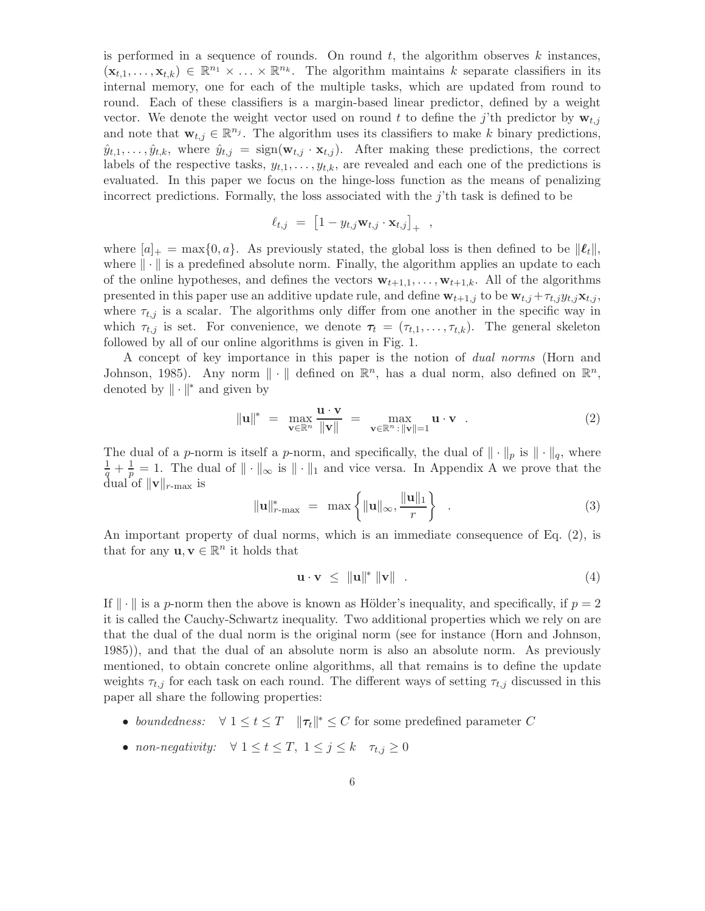is performed in a sequence of rounds. On round  $t$ , the algorithm observes  $k$  instances,  $(\mathbf{x}_{t,1},\ldots,\mathbf{x}_{t,k}) \in \mathbb{R}^{n_1} \times \ldots \times \mathbb{R}^{n_k}$ . The algorithm maintains k separate classifiers in its internal memory, one for each of the multiple tasks, which are updated from round to round. Each of these classifiers is a margin-based linear predictor, defined by a weight vector. We denote the weight vector used on round t to define the j'th predictor by  $\mathbf{w}_{t,j}$ and note that  $\mathbf{w}_{t,j} \in \mathbb{R}^{n_j}$ . The algorithm uses its classifiers to make k binary predictions,  $\hat{y}_{t,1},\ldots,\hat{y}_{t,k}$ , where  $\hat{y}_{t,j} = \text{sign}(\mathbf{w}_{t,j} \cdot \mathbf{x}_{t,j})$ . After making these predictions, the correct labels of the respective tasks,  $y_{t,1}, \ldots, y_{t,k}$ , are revealed and each one of the predictions is evaluated. In this paper we focus on the hinge-loss function as the means of penalizing incorrect predictions. Formally, the loss associated with the  $j$ 'th task is defined to be

$$
\ell_{t,j} = [1 - y_{t,j} \mathbf{w}_{t,j} \cdot \mathbf{x}_{t,j}]_{+} ,
$$

where  $[a]_+ = \max\{0, a\}$ . As previously stated, the global loss is then defined to be  $\|\ell_t\|$ , where  $\|\cdot\|$  is a predefined absolute norm. Finally, the algorithm applies an update to each of the online hypotheses, and defines the vectors  $\mathbf{w}_{t+1,1}, \ldots, \mathbf{w}_{t+1,k}$ . All of the algorithms presented in this paper use an additive update rule, and define  $\mathbf{w}_{t+1,j}$  to be  $\mathbf{w}_{t,j} + \tau_{t,j} y_{t,j} \mathbf{x}_{t,j}$ , where  $\tau_{t,j}$  is a scalar. The algorithms only differ from one another in the specific way in which  $\tau_{t,j}$  is set. For convenience, we denote  $\tau_t = (\tau_{t,1}, \ldots, \tau_{t,k})$ . The general skeleton followed by all of our online algorithms is given in Fig. 1.

A concept of key importance in this paper is the notion of dual norms (Horn and Johnson, 1985). Any norm  $\|\cdot\|$  defined on  $\mathbb{R}^n$ , has a dual norm, also defined on  $\mathbb{R}^n$ , denoted by  $\|\cdot\|^*$  and given by

$$
\|\mathbf{u}\|^* = \max_{\mathbf{v} \in \mathbb{R}^n} \frac{\mathbf{u} \cdot \mathbf{v}}{\|\mathbf{v}\|} = \max_{\mathbf{v} \in \mathbb{R}^n : \|\mathbf{v}\| = 1} \mathbf{u} \cdot \mathbf{v} . \tag{2}
$$

The dual of a p-norm is itself a p-norm, and specifically, the dual of  $\|\cdot\|_p$  is  $\|\cdot\|_q$ , where  $rac{1}{q} + \frac{1}{p}$  $\frac{1}{p} = 1$ . The dual of  $\|\cdot\|_{\infty}$  is  $\|\cdot\|_{1}$  and vice versa. In Appendix A we prove that the dual of  $\|\mathbf{v}\|_{r-\max}$  is

$$
\|\mathbf{u}\|_{r=\max}^* = \max\left\{\|\mathbf{u}\|_{\infty}, \frac{\|\mathbf{u}\|_1}{r}\right\} \quad . \tag{3}
$$

An important property of dual norms, which is an immediate consequence of Eq. (2), is that for any  $\mathbf{u}, \mathbf{v} \in \mathbb{R}^n$  it holds that

$$
\mathbf{u} \cdot \mathbf{v} \leq \|\mathbf{u}\|^* \|\mathbf{v}\| \tag{4}
$$

If  $\|\cdot\|$  is a p-norm then the above is known as Hölder's inequality, and specifically, if  $p = 2$ it is called the Cauchy-Schwartz inequality. Two additional properties which we rely on are that the dual of the dual norm is the original norm (see for instance (Horn and Johnson, 1985)), and that the dual of an absolute norm is also an absolute norm. As previously mentioned, to obtain concrete online algorithms, all that remains is to define the update weights  $\tau_{t,j}$  for each task on each round. The different ways of setting  $\tau_{t,j}$  discussed in this paper all share the following properties:

- boundedness:  $\forall 1 \le t \le T \quad ||\tau_t||^* \le C$  for some predefined parameter C
- non-negativity:  $\forall 1 \leq t \leq T, 1 \leq j \leq k$   $\tau_{t,j} \geq 0$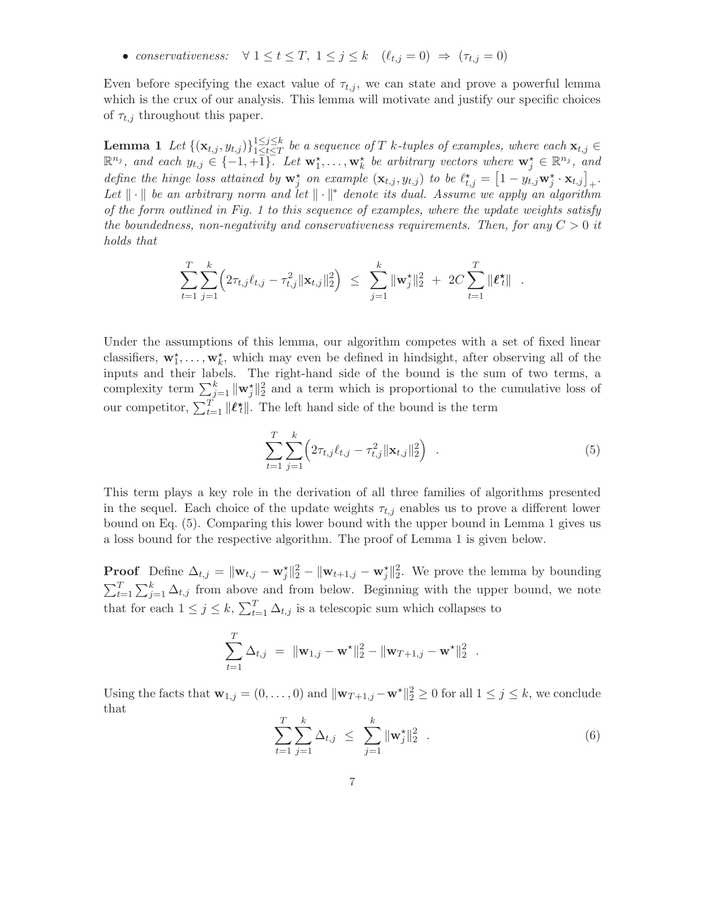• conservativeness:  $\forall 1 \leq t \leq T, 1 \leq j \leq k \quad (\ell_{t,j} = 0) \Rightarrow (\tau_{t,j} = 0)$ 

Even before specifying the exact value of  $\tau_{t,j}$ , we can state and prove a powerful lemma which is the crux of our analysis. This lemma will motivate and justify our specific choices of  $\tau_{t,j}$  throughout this paper.

Lemma 1  $\,Let\, \{(\mathbf{x}_{t,j}, y_{t,j})\}_{\substack{1 \leq j \leq k \ 1 \leq t \leq T}}$ **Lemma 1** Let  $\{(\mathbf{x}_{t,j}, y_{t,j})\}_{1 \leq t \leq T}^{1 \leq j \leq k}$  be a sequence of T k-tuples of examples, where each  $\mathbf{x}_{t,j} \in \mathbb{R}^{n_j}$ , and each  $y_{t,j} \in \{-1,+1\}$ . Let  $\mathbf{w}_1^{\star}, \ldots, \mathbf{w}_k^{\star}$  be arbitrary vectors where  $\math$ define the hinge loss attained by  $\mathbf{w}_j^*$  on example  $(\mathbf{x}_{t,j}, y_{t,j})$  to be  $\ell_{t,j}^* = \left[1 - y_{t,j} \mathbf{w}_j^* \cdot \mathbf{x}_{t,j}\right]_+$ . Let  $\|\cdot\|$  be an arbitrary norm and let  $\|\cdot\|^*$  denote its dual. Assume we apply an algorithm of the form outlined in Fig. 1 to this sequence of examples, where the update weights satisfy the boundedness, non-negativity and conservativeness requirements. Then, for any  $C > 0$  it holds that

$$
\sum_{t=1}^T \sum_{j=1}^k \left( 2\tau_{t,j} \ell_{t,j} - \tau_{t,j}^2 ||\mathbf{x}_{t,j}||_2^2 \right) \leq \sum_{j=1}^k ||\mathbf{w}_j^{\star}||_2^2 + 2C \sum_{t=1}^T ||\boldsymbol{\ell}_t^{\star}||.
$$

Under the assumptions of this lemma, our algorithm competes with a set of fixed linear classifiers,  $\mathbf{w}_1^{\star}, \ldots, \mathbf{w}_k^{\star}$ , which may even be defined in hindsight, after observing all of the inputs and their labels. The right-hand side of the bound is the sum of two terms, a complexity term  $\sum_{j=1}^{k} ||\mathbf{w}_j^{\star}||_2^2$  and a term which is proportional to the cumulative loss of our competitor,  $\sum_{t=1}^{T} ||\ell_t^*||$ . The left hand side of the bound is the term

$$
\sum_{t=1}^{T} \sum_{j=1}^{k} \left( 2\tau_{t,j} \ell_{t,j} - \tau_{t,j}^2 ||\mathbf{x}_{t,j}||_2^2 \right) . \tag{5}
$$

This term plays a key role in the derivation of all three families of algorithms presented in the sequel. Each choice of the update weights  $\tau_{t,j}$  enables us to prove a different lower bound on Eq. (5). Comparing this lower bound with the upper bound in Lemma 1 gives us a loss bound for the respective algorithm. The proof of Lemma 1 is given below.

**Proof** Define  $\Delta_{t,j} = ||\mathbf{w}_{t,j} - \mathbf{w}_j^*||_2^2 - ||\mathbf{w}_{t+1,j} - \mathbf{w}_j^*||_2^2$ . We prove the lemma by bounding  $\sum_{t=1}^{T} \sum_{j=1}^{k} \Delta_{t,j}$  from above and from below. Beginning with the upper bound, we note that for each  $1 \leq j \leq k$ ,  $\sum_{t=1}^{T} \Delta_{t,j}$  is a telescopic sum which collapses to

$$
\sum_{t=1}^T \Delta_{t,j} = ||\mathbf{w}_{1,j} - \mathbf{w}^{\star}||_2^2 - ||\mathbf{w}_{T+1,j} - \mathbf{w}^{\star}||_2^2.
$$

Using the facts that  $\mathbf{w}_{1,j} = (0, \ldots, 0)$  and  $\|\mathbf{w}_{T+1,j} - \mathbf{w}^*\|_2^2 \ge 0$  for all  $1 \le j \le k$ , we conclude that

$$
\sum_{t=1}^{T} \sum_{j=1}^{k} \Delta_{t,j} \leq \sum_{j=1}^{k} ||\mathbf{w}_{j}^{*}||_{2}^{2} . \qquad (6)
$$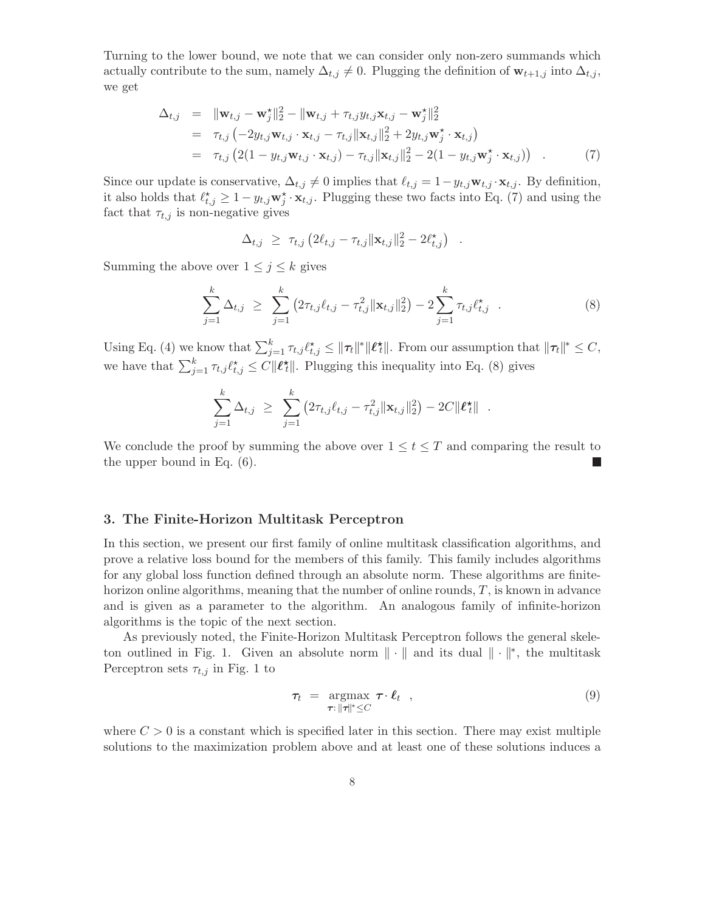Turning to the lower bound, we note that we can consider only non-zero summands which actually contribute to the sum, namely  $\Delta_{t,j} \neq 0$ . Plugging the definition of  $\mathbf{w}_{t+1,j}$  into  $\Delta_{t,j}$ , we get

$$
\Delta_{t,j} = \|\mathbf{w}_{t,j} - \mathbf{w}_j^{\star}\|_2^2 - \|\mathbf{w}_{t,j} + \tau_{t,j} y_{t,j} \mathbf{x}_{t,j} - \mathbf{w}_j^{\star}\|_2^2 \n= \tau_{t,j} \left( -2y_{t,j} \mathbf{w}_{t,j} \cdot \mathbf{x}_{t,j} - \tau_{t,j} \|\mathbf{x}_{t,j}\|_2^2 + 2y_{t,j} \mathbf{w}_j^{\star} \cdot \mathbf{x}_{t,j} \right) \n= \tau_{t,j} \left( 2(1 - y_{t,j} \mathbf{w}_{t,j} \cdot \mathbf{x}_{t,j}) - \tau_{t,j} \|\mathbf{x}_{t,j}\|_2^2 - 2(1 - y_{t,j} \mathbf{w}_j^{\star} \cdot \mathbf{x}_{t,j}) \right) . \tag{7}
$$

Since our update is conservative,  $\Delta_{t,j} \neq 0$  implies that  $\ell_{t,j} = 1 - y_{t,j} \mathbf{w}_{t,j} \cdot \mathbf{x}_{t,j}$ . By definition, it also holds that  $\ell_{t,j}^* \geq 1 - y_{t,j} \mathbf{w}_j^* \cdot \mathbf{x}_{t,j}$ . Plugging these two facts into Eq. (7) and using the fact that  $\tau_{t,j}$  is non-negative gives

$$
\Delta_{t,j} \geq \tau_{t,j} \left( 2\ell_{t,j} - \tau_{t,j} ||\mathbf{x}_{t,j}||_2^2 - 2\ell_{t,j}^* \right)
$$

Summing the above over  $1 \leq j \leq k$  gives

$$
\sum_{j=1}^{k} \Delta_{t,j} \geq \sum_{j=1}^{k} \left( 2\tau_{t,j} \ell_{t,j} - \tau_{t,j}^{2} ||\mathbf{x}_{t,j}||_{2}^{2} \right) - 2 \sum_{j=1}^{k} \tau_{t,j} \ell_{t,j}^{\star} \quad . \tag{8}
$$

.

Using Eq. (4) we know that  $\sum_{j=1}^k \tau_{t,j} \ell_{t,j}^* \leq ||\tau_t||^* ||\ell_t^*||$ . From our assumption that  $||\tau_t||^* \leq C$ , we have that  $\sum_{j=1}^{k} \tau_{t,j} \ell_{t,j}^* \leq C ||\ell_t^*||$ . Plugging this inequality into Eq. (8) gives

$$
\sum_{j=1}^k \Delta_{t,j} \geq \sum_{j=1}^k (2\tau_{t,j}\ell_{t,j} - \tau_{t,j}^2 ||\mathbf{x}_{t,j}||_2^2) - 2C||\ell_t^{\star}||.
$$

We conclude the proof by summing the above over  $1 \le t \le T$  and comparing the result to the upper bound in Eq. (6).

# 3. The Finite-Horizon Multitask Perceptron

In this section, we present our first family of online multitask classification algorithms, and prove a relative loss bound for the members of this family. This family includes algorithms for any global loss function defined through an absolute norm. These algorithms are finitehorizon online algorithms, meaning that the number of online rounds, T, is known in advance and is given as a parameter to the algorithm. An analogous family of infinite-horizon algorithms is the topic of the next section.

As previously noted, the Finite-Horizon Multitask Perceptron follows the general skeleton outlined in Fig. 1. Given an absolute norm  $\|\cdot\|$  and its dual  $\|\cdot\|^*$ , the multitask Perceptron sets  $\tau_{t,j}$  in Fig. 1 to

$$
\tau_t = \underset{\tau: \|\tau\|^* \leq C}{\operatorname{argmax}} \ \tau \cdot \ell_t \quad , \tag{9}
$$

where  $C > 0$  is a constant which is specified later in this section. There may exist multiple solutions to the maximization problem above and at least one of these solutions induces a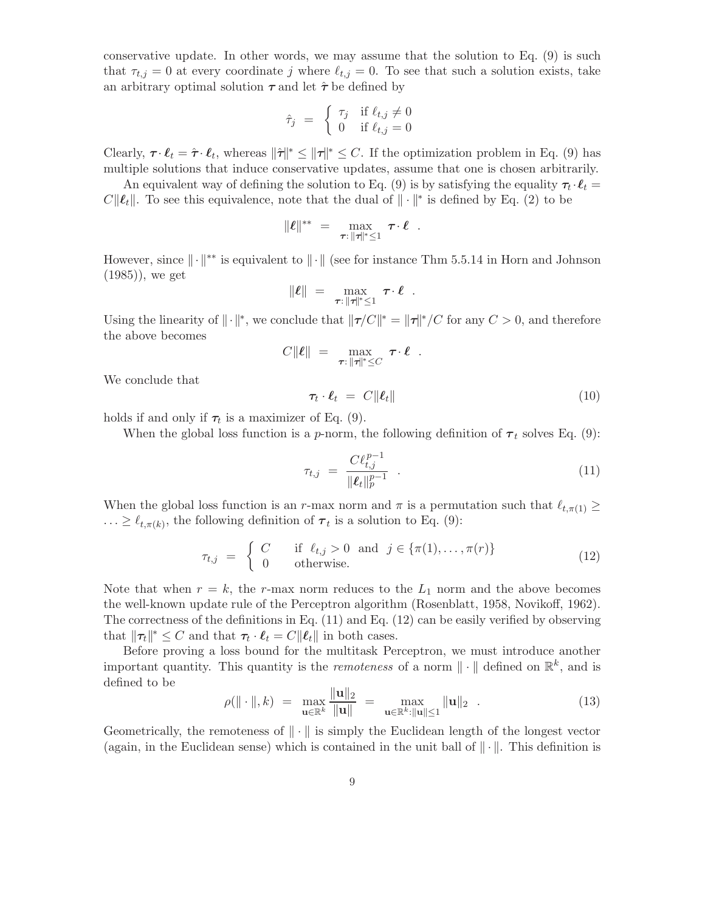conservative update. In other words, we may assume that the solution to Eq. (9) is such that  $\tau_{t,j} = 0$  at every coordinate j where  $\ell_{t,j} = 0$ . To see that such a solution exists, take an arbitrary optimal solution  $\tau$  and let  $\hat{\tau}$  be defined by

$$
\hat{\tau}_j = \begin{cases} \tau_j & \text{if } \ell_{t,j} \neq 0 \\ 0 & \text{if } \ell_{t,j} = 0 \end{cases}
$$

Clearly,  $\boldsymbol{\tau} \cdot \boldsymbol{\ell}_t = \hat{\boldsymbol{\tau}} \cdot \boldsymbol{\ell}_t$ , whereas  $\|\hat{\boldsymbol{\tau}}\|^* \leq \|\boldsymbol{\tau}\|^* \leq C$ . If the optimization problem in Eq. (9) has multiple solutions that induce conservative updates, assume that one is chosen arbitrarily.

An equivalent way of defining the solution to Eq. (9) is by satisfying the equality  $\tau_t \cdot \ell_t =$  $C\|\ell_t\|$ . To see this equivalence, note that the dual of  $\|\cdot\|^*$  is defined by Eq. (2) to be

$$
\|\boldsymbol{\ell}\|^{**} = \max_{\boldsymbol{\tau}: \|\boldsymbol{\tau}\|^{*} \leq 1} \boldsymbol{\tau} \cdot \boldsymbol{\ell}.
$$

However, since  $\|\cdot\|^{**}$  is equivalent to  $\|\cdot\|$  (see for instance Thm 5.5.14 in Horn and Johnson (1985)), we get

$$
\|\boldsymbol{\ell}\| = \max_{\boldsymbol{\tau}: \|\boldsymbol{\tau}\|^* \leq 1} \boldsymbol{\tau} \cdot \boldsymbol{\ell}.
$$

Using the linearity of  $\|\cdot\|^*$ , we conclude that  $\|\tau/C\|^* = \|\tau\|^*/C$  for any  $C > 0$ , and therefore the above becomes

$$
C\|\boldsymbol{\ell}\| = \max_{\boldsymbol{\tau}: \|\boldsymbol{\tau}\|^* \leq C} \boldsymbol{\tau} \cdot \boldsymbol{\ell}.
$$

We conclude that

$$
\tau_t \cdot \ell_t = C \|\ell_t\| \tag{10}
$$

holds if and only if  $\tau_t$  is a maximizer of Eq. (9).

When the global loss function is a p-norm, the following definition of  $\tau_t$  solves Eq. (9):

$$
\tau_{t,j} = \frac{C\ell_{t,j}^{p-1}}{\|\ell_t\|_p^{p-1}} \quad . \tag{11}
$$

When the global loss function is an r-max norm and  $\pi$  is a permutation such that  $\ell_{t,\pi(1)} \geq$  $\ldots \geq \ell_{t,\pi(k)}$ , the following definition of  $\tau_t$  is a solution to Eq. (9):

$$
\tau_{t,j} = \begin{cases}\nC & \text{if } \ell_{t,j} > 0 \text{ and } j \in \{\pi(1), \dots, \pi(r)\} \\
0 & \text{otherwise.} \n\end{cases}
$$
\n(12)

Note that when  $r = k$ , the r-max norm reduces to the  $L_1$  norm and the above becomes the well-known update rule of the Perceptron algorithm (Rosenblatt, 1958, Novikoff, 1962). The correctness of the definitions in Eq. (11) and Eq. (12) can be easily verified by observing that  $\|\tau_t\|^* \leq C$  and that  $\tau_t \cdot \ell_t = C \|\ell_t\|$  in both cases.

Before proving a loss bound for the multitask Perceptron, we must introduce another important quantity. This quantity is the *remoteness* of a norm  $\|\cdot\|$  defined on  $\mathbb{R}^k$ , and is defined to be

$$
\rho(\|\cdot\|, k) = \max_{\mathbf{u} \in \mathbb{R}^k} \frac{\|\mathbf{u}\|_2}{\|\mathbf{u}\|} = \max_{\mathbf{u} \in \mathbb{R}^k : \|\mathbf{u}\| \le 1} \|\mathbf{u}\|_2 \quad . \tag{13}
$$

Geometrically, the remoteness of  $\|\cdot\|$  is simply the Euclidean length of the longest vector (again, in the Euclidean sense) which is contained in the unit ball of  $\|\cdot\|$ . This definition is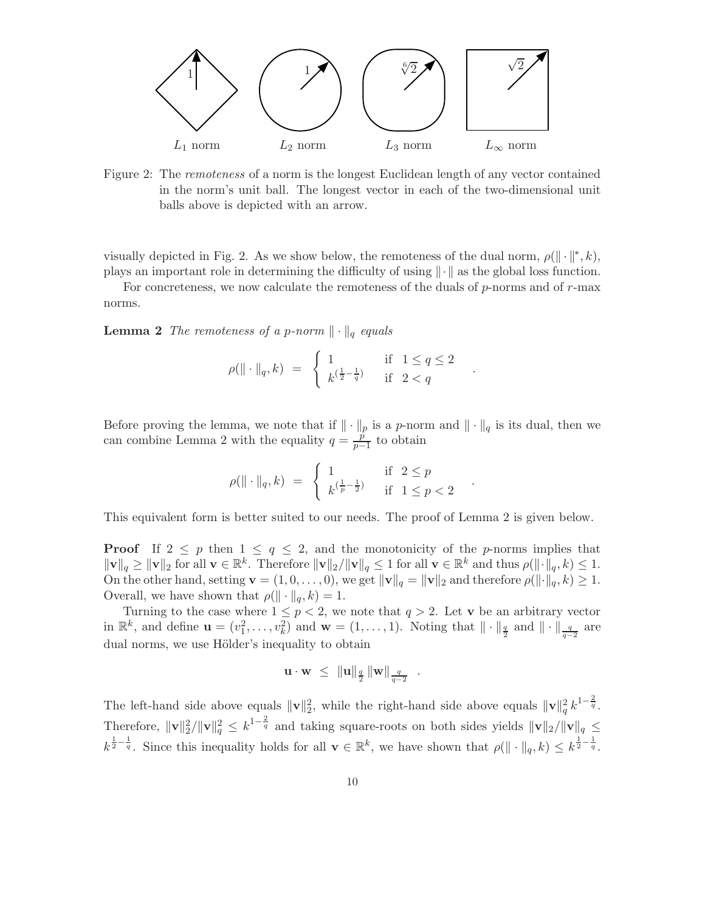

Figure 2: The remoteness of a norm is the longest Euclidean length of any vector contained in the norm's unit ball. The longest vector in each of the two-dimensional unit balls above is depicted with an arrow.

visually depicted in Fig. 2. As we show below, the remoteness of the dual norm,  $\rho(\|\cdot\|^*, k)$ , plays an important role in determining the difficulty of using  $\|\cdot\|$  as the global loss function.

For concreteness, we now calculate the remoteness of the duals of  $p$ -norms and of  $r$ -max norms.

**Lemma 2** The remoteness of a p-norm  $\|\cdot\|_q$  equals

$$
\rho(\|\cdot\|_q, k) \ = \ \begin{cases} \ 1 & \text{if} \ \ 1 \le q \le 2 \\ \ k^{\left(\frac{1}{2} - \frac{1}{q}\right)} & \text{if} \ \ 2 < q \end{cases}
$$

.

Before proving the lemma, we note that if  $\|\cdot\|_p$  is a p-norm and  $\|\cdot\|_q$  is its dual, then we can combine Lemma 2 with the equality  $q = \frac{\hat{p}}{n-1}$  $\frac{p}{p-1}$  to obtain

$$
\rho(\|\cdot\|_q, k) \ = \ \begin{cases} \ 1 & \text{if} \ \ 2 \le p \\ \ k^{\left(\frac{1}{p} - \frac{1}{2}\right)} & \text{if} \ \ 1 \le p < 2 \end{cases} \ .
$$

This equivalent form is better suited to our needs. The proof of Lemma 2 is given below.

**Proof** If  $2 \leq p$  then  $1 \leq q \leq 2$ , and the monotonicity of the p-norms implies that  $\|\mathbf{v}\|_q \geq \|\mathbf{v}\|_2$  for all  $\mathbf{v} \in \mathbb{R}^k$ . Therefore  $\|\mathbf{v}\|_2 / \|\mathbf{v}\|_q \leq 1$  for all  $\mathbf{v} \in \mathbb{R}^k$  and thus  $\rho(\|\cdot\|_q, k) \leq 1$ . On the other hand, setting  $\mathbf{v} = (1, 0, \ldots, 0)$ , we get  $\|\mathbf{v}\|_q = \|\mathbf{v}\|_2$  and therefore  $\rho(\|\cdot\|_q, k) \geq 1$ . Overall, we have shown that  $\rho(\|\cdot\|_q, k) = 1$ .

Turning to the case where  $1 \leq p < 2$ , we note that  $q > 2$ . Let **v** be an arbitrary vector in  $\mathbb{R}^k$ , and define  $\mathbf{u} = (v_1^2, \dots, v_k^2)$  and  $\mathbf{w} = (1, \dots, 1)$ . Noting that  $\|\cdot\|_{\frac{q}{2}}$  and  $\|\cdot\|_{\frac{q}{q-2}}$  are dual norms, we use Hölder's inequality to obtain

$$
\mathbf{u} \cdot \mathbf{w} \ \leq \ \|\mathbf{u}\|_{\frac{q}{2}} \, \|\mathbf{w}\|_{\frac{q}{q-2}} \ \ .
$$

The left-hand side above equals  $\|\mathbf{v}\|_2^2$ , while the right-hand side above equals  $\|\mathbf{v}\|_q^2 k^{1-\frac{2}{q}}$ . Therefore,  $\|\mathbf{v}\|_2^2 / \|\mathbf{v}\|_q^2 \leq k^{1-\frac{2}{q}}$  and taking square-roots on both sides yields  $\|\mathbf{v}\|_2 / \|\mathbf{v}\|_q \leq$  $k^{\frac{1}{2}-\frac{1}{q}}$ . Since this inequality holds for all  $\mathbf{v} \in \mathbb{R}^k$ , we have shown that  $\rho(\|\cdot\|_q, k) \leq k^{\frac{1}{2}-\frac{1}{q}}$ .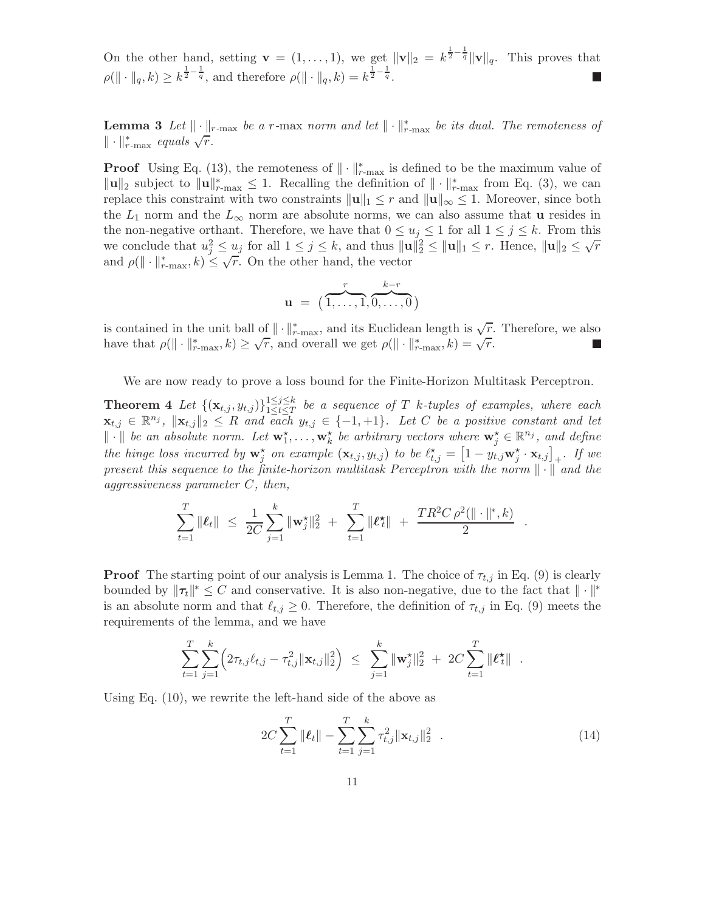On the other hand, setting  $\mathbf{v} = (1, \ldots, 1)$ , we get  $\|\mathbf{v}\|_2 = k^{\frac{1}{2} - \frac{1}{q}} \|\mathbf{v}\|_q$ . This proves that  $\rho(\|\cdot\|_q, k) \geq k^{\frac{1}{2} - \frac{1}{q}},$  and therefore  $\rho(\|\cdot\|_q, k) = k^{\frac{1}{2} - \frac{1}{q}}.$ 

**Lemma 3** Let  $\|\cdot\|_{r-\max}$  be a r-max norm and let  $\|\cdot\|_{r-\max}^*$  be its dual. The remoteness of  $\|\cdot\|_{r-\max}^*$  equals  $\sqrt{\overline{r}}$ .

**Proof** Using Eq. (13), the remoteness of  $\|\cdot\|_{r-\max}^*$  is defined to be the maximum value of  $\|\mathbf{u}\|_2$  subject to  $\|\mathbf{u}\|_{r-\max}^* \leq 1$ . Recalling the definition of  $\|\cdot\|_{r-\max}^*$  from Eq. (3), we can replace this constraint with two constraints  $\|\mathbf{u}\|_1 \leq r$  and  $\|\mathbf{u}\|_{\infty} \leq 1$ . Moreover, since both the  $L_1$  norm and the  $L_{\infty}$  norm are absolute norms, we can also assume that **u** resides in the non-negative orthant. Therefore, we have that  $0 \le u_j \le 1$  for all  $1 \le j \le k$ . From this we conclude that  $u_j^2 \le u_j$  for all  $1 \le j \le k$ , and thus  $||\mathbf{u}||_2^2 \le ||\mathbf{u}||_1 \le r$ . Hence,  $||\mathbf{u}||_2 \le \sqrt{r}$ and  $\rho(\|\cdot\|_{r-\max}^*, k) \leq \sqrt{r}$ . On the other hand, the vector

$$
\mathbf{u} = (\overbrace{1,\ldots,1}^{r},\overbrace{0,\ldots,0}^{k-r})
$$

is contained in the unit ball of  $\|\cdot\|_{r-\max}^*$ , and its Euclidean length is  $\sqrt{r}$ . Therefore, we also have that  $\rho(\|\cdot\|_{r-\max}^*, k) \geq \sqrt{r}$ , and overall we get  $\rho(\|\cdot\|_{r-\max}^*, k) = \sqrt{r}$ .

We are now ready to prove a loss bound for the Finite-Horizon Multitask Perceptron.

**Theorem 4** Let  $\{(\mathbf{x}_{t,j}, y_{t,j})\}_{1 \leq t \leq T}^{1 \leq j \leq k}$  $\frac{1 \leq j \leq \kappa}{1 \leq t \leq T}$  be a sequence of T k-tuples of examples, where each  $\mathbf{x}_{t,j} \in \mathbb{R}^{n_j}$ ,  $\|\mathbf{x}_{t,j}\|_2 \leq R$  and each  $y_{t,j} \in \{-1, +1\}$ . Let C be a positive constant and let  $\|\cdot\|$  be an absolute norm. Let  $\mathbf{w}_1^*, \ldots, \mathbf{w}_k^*$  be arbitrary vectors where  $\mathbf{w}_j^* \in \mathbb{R}^{n_j}$ , and define the hinge loss incurred by  $\mathbf{w}_j^*$  on example  $(\mathbf{x}_{t,j}, y_{t,j})$  to be  $\ell_{t,j}^* = \left[1 - y_{t,j} \mathbf{w}_j^* \cdot \mathbf{x}_{t,j}\right]_+$ . If we present this sequence to the finite-horizon multitask Perceptron with the norm  $\|\cdot\|$  and the aggressiveness parameter C, then,

$$
\sum_{t=1}^T \|\boldsymbol{\ell}_t\| \leq \frac{1}{2C} \sum_{j=1}^k \|\mathbf{w}_j^{\star}\|_2^2 + \sum_{t=1}^T \|\boldsymbol{\ell}_t^{\star}\| + \frac{TR^2C \rho^2(\|\cdot\|^{*}, k)}{2}
$$

**Proof** The starting point of our analysis is Lemma 1. The choice of  $\tau_{t,i}$  in Eq. (9) is clearly bounded by  $\|\tau_t\|^* \leq C$  and conservative. It is also non-negative, due to the fact that  $\|\cdot\|^*$ is an absolute norm and that  $\ell_{t,j} \geq 0$ . Therefore, the definition of  $\tau_{t,j}$  in Eq. (9) meets the requirements of the lemma, and we have

$$
\sum_{t=1}^T \sum_{j=1}^k \left( 2\tau_{t,j} \ell_{t,j} - \tau_{t,j}^2 \|\mathbf{x}_{t,j}\|_2^2 \right) \leq \sum_{j=1}^k \|\mathbf{w}_j^{\star}\|_2^2 + 2C \sum_{t=1}^T \|\boldsymbol{\ell}_t^{\star}\|.
$$

Using Eq. (10), we rewrite the left-hand side of the above as

$$
2C\sum_{t=1}^{T} \|\boldsymbol{\ell}_{t}\| - \sum_{t=1}^{T} \sum_{j=1}^{k} \tau_{t,j}^{2} \|\mathbf{x}_{t,j}\|_{2}^{2} \quad . \tag{14}
$$

.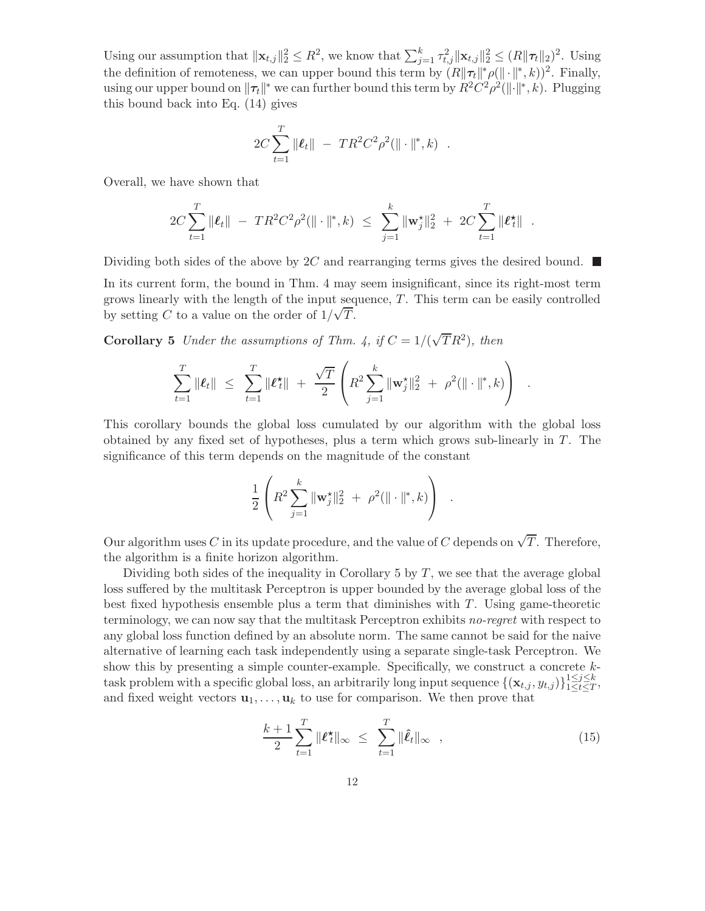Using our assumption that  $\|\mathbf{x}_{t,j}\|_2^2 \leq R^2$ , we know that  $\sum_{j=1}^k \tau_{t,j}^2 \|\mathbf{x}_{t,j}\|_2^2 \leq (R\|\boldsymbol{\tau}_t\|_2)^2$ . Using the definition of remoteness, we can upper bound this term by  $(R\|\tau_t\|^* \rho(\|\cdot\|^*, k))^2$ . Finally, using our upper bound on  $\|\tau_t\|^*$  we can further bound this term by  $R^2C^2\rho^2(\|\cdot\|^*,k)$ . Plugging this bound back into Eq. (14) gives

$$
2C\sum_{t=1}^T \|\boldsymbol{\ell}_t\| - TR^2C^2\rho^2(\|\cdot\|^*, k) .
$$

Overall, we have shown that

$$
2C\sum_{t=1}^T \|\boldsymbol{\ell}_t\| - TR^2C^2\rho^2(\|\cdot\|^*, k) \leq \sum_{j=1}^k \|\mathbf{w}_j^{\star}\|_2^2 + 2C\sum_{t=1}^T \|\boldsymbol{\ell}_t^{\star}\|.
$$

Dividing both sides of the above by 2C and rearranging terms gives the desired bound.  $\blacksquare$ 

In its current form, the bound in Thm. 4 may seem insignificant, since its right-most term grows linearly with the length of the input sequence,  $T$ . This term can be easily controlled by setting C to a value on the order of  $1/\sqrt{T}$ .

**Corollary 5** Under the assumptions of Thm. 4, if  $C = 1/(\sqrt{T}R^2)$ , then

$$
\sum_{t=1}^T \|\boldsymbol{\ell}_t\| \leq \sum_{t=1}^T \|\boldsymbol{\ell}_t^{\star}\| + \frac{\sqrt{T}}{2} \left( R^2 \sum_{j=1}^k \|\mathbf{w}_j^{\star}\|_2^2 + \rho^2 (\|\cdot\|_{\cdot}^{\star}, k) \right) .
$$

This corollary bounds the global loss cumulated by our algorithm with the global loss obtained by any fixed set of hypotheses, plus a term which grows sub-linearly in T. The significance of this term depends on the magnitude of the constant

$$
\frac{1}{2}\left(R^2\sum_{j=1}^k \|\mathbf{w}_j^{\star}\|_2^2 + \rho^2(\|\cdot\|^{*}, k)\right) .
$$

Our algorithm uses C in its update procedure, and the value of C depends on  $\sqrt{T}$ . Therefore, the algorithm is a finite horizon algorithm.

Dividing both sides of the inequality in Corollary 5 by  $T$ , we see that the average global loss suffered by the multitask Perceptron is upper bounded by the average global loss of the best fixed hypothesis ensemble plus a term that diminishes with  $T$ . Using game-theoretic terminology, we can now say that the multitask Perceptron exhibits no-regret with respect to any global loss function defined by an absolute norm. The same cannot be said for the naive alternative of learning each task independently using a separate single-task Perceptron. We show this by presenting a simple counter-example. Specifically, we construct a concrete ktask problem with a specific global loss, an arbitrarily long input sequence  $\{(\mathbf{x}_{t,j}, y_{t,j})\}_{1 \leq t \leq T}^{1 \leq j \leq k}$  $\begin{array}{c}\n1 \leq j \leq \kappa \\
1 \leq t \leq T\n\end{array},$ and fixed weight vectors  $\mathbf{u}_1, \ldots, \mathbf{u}_k$  to use for comparison. We then prove that

$$
\frac{k+1}{2}\sum_{t=1}^{T} \|\boldsymbol{\ell}_{t}^{\star}\|_{\infty} \leq \sum_{t=1}^{T} \|\hat{\boldsymbol{\ell}}_{t}\|_{\infty} , \qquad (15)
$$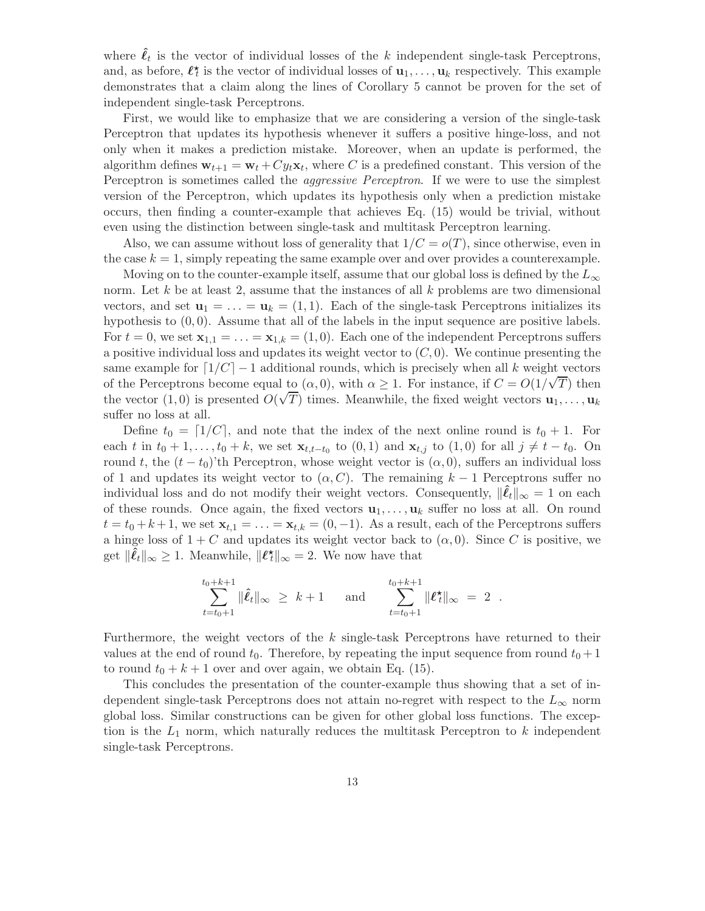where  $\hat{\ell}_t$  is the vector of individual losses of the k independent single-task Perceptrons, and, as before,  $\ell_t^*$  is the vector of individual losses of  $\mathbf{u}_1, \ldots, \mathbf{u}_k$  respectively. This example demonstrates that a claim along the lines of Corollary 5 cannot be proven for the set of independent single-task Perceptrons.

First, we would like to emphasize that we are considering a version of the single-task Perceptron that updates its hypothesis whenever it suffers a positive hinge-loss, and not only when it makes a prediction mistake. Moreover, when an update is performed, the algorithm defines  $\mathbf{w}_{t+1} = \mathbf{w}_t + Cy_t \mathbf{x}_t$ , where C is a predefined constant. This version of the Perceptron is sometimes called the *aggressive Perceptron*. If we were to use the simplest version of the Perceptron, which updates its hypothesis only when a prediction mistake occurs, then finding a counter-example that achieves Eq. (15) would be trivial, without even using the distinction between single-task and multitask Perceptron learning.

Also, we can assume without loss of generality that  $1/C = o(T)$ , since otherwise, even in the case  $k = 1$ , simply repeating the same example over and over provides a counterexample.

Moving on to the counter-example itself, assume that our global loss is defined by the  $L_{\infty}$ norm. Let  $k$  be at least 2, assume that the instances of all  $k$  problems are two dimensional vectors, and set  $\mathbf{u}_1 = \ldots = \mathbf{u}_k = (1, 1)$ . Each of the single-task Perceptrons initializes its hypothesis to  $(0, 0)$ . Assume that all of the labels in the input sequence are positive labels. For  $t = 0$ , we set  $\mathbf{x}_{1,1} = \ldots = \mathbf{x}_{1,k} = (1,0)$ . Each one of the independent Perceptrons suffers a positive individual loss and updates its weight vector to  $(C, 0)$ . We continue presenting the same example for  $\lceil 1/C \rceil - 1$  additional rounds, which is precisely when all k weight vectors of the Perceptrons become equal to  $(\alpha, 0)$ , with  $\alpha \geq 1$ . For instance, if  $C = O(1/\sqrt{T})$  then the vector  $(1, 0)$  is presented  $O(\sqrt{T})$  times. Meanwhile, the fixed weight vectors  $\mathbf{u}_1, \dots, \mathbf{u}_k$ suffer no loss at all.

Define  $t_0 = [1/C]$ , and note that the index of the next online round is  $t_0 + 1$ . For each t in  $t_0 + 1, \ldots, t_0 + k$ , we set  $\mathbf{x}_{t,t-t_0}$  to  $(0, 1)$  and  $\mathbf{x}_{t,j}$  to  $(1, 0)$  for all  $j \neq t - t_0$ . On round t, the  $(t - t_0)$ 'th Perceptron, whose weight vector is  $(\alpha, 0)$ , suffers an individual loss of 1 and updates its weight vector to  $(\alpha, C)$ . The remaining  $k-1$  Perceptrons suffer no individual loss and do not modify their weight vectors. Consequently,  $\|\tilde{\ell}_t\|_{\infty} = 1$  on each of these rounds. Once again, the fixed vectors  $\mathbf{u}_1, \ldots, \mathbf{u}_k$  suffer no loss at all. On round  $t = t_0 + k + 1$ , we set  $\mathbf{x}_{t,1} = \ldots = \mathbf{x}_{t,k} = (0,-1)$ . As a result, each of the Perceptrons suffers a hinge loss of  $1 + C$  and updates its weight vector back to  $(\alpha, 0)$ . Since C is positive, we get  $\|\hat{\ell}_t\|_{\infty} \geq 1$ . Meanwhile,  $\|\ell_t^{\star}\|_{\infty} = 2$ . We now have that

$$
\sum_{t=t_0+1}^{t_0+k+1} \|\hat{\ell}_t\|_{\infty} \geq k+1 \quad \text{and} \quad \sum_{t=t_0+1}^{t_0+k+1} \|\ell_t^{\star}\|_{\infty} = 2.
$$

Furthermore, the weight vectors of the  $k$  single-task Perceptrons have returned to their values at the end of round  $t_0$ . Therefore, by repeating the input sequence from round  $t_0 + 1$ to round  $t_0 + k + 1$  over and over again, we obtain Eq. (15).

This concludes the presentation of the counter-example thus showing that a set of independent single-task Perceptrons does not attain no-regret with respect to the  $L_{\infty}$  norm global loss. Similar constructions can be given for other global loss functions. The exception is the  $L_1$  norm, which naturally reduces the multitask Perceptron to k independent single-task Perceptrons.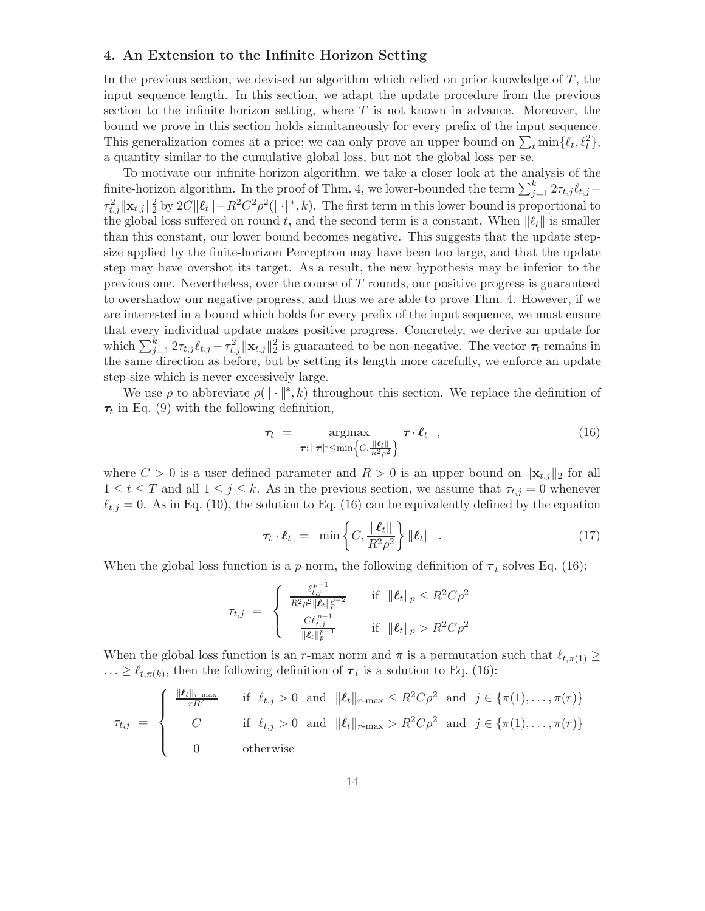#### 4. An Extension to the Infinite Horizon Setting

In the previous section, we devised an algorithm which relied on prior knowledge of  $T$ , the input sequence length. In this section, we adapt the update procedure from the previous section to the infinite horizon setting, where  $T$  is not known in advance. Moreover, the bound we prove in this section holds simultaneously for every prefix of the input sequence. This generalization comes at a price; we can only prove an upper bound on  $\sum_{t} \min\{\ell_t, \ell_t^2\},$ a quantity similar to the cumulative global loss, but not the global loss per se.

To motivate our infinite-horizon algorithm, we take a closer look at the analysis of the finite-horizon algorithm. In the proof of Thm. 4, we lower-bounded the term  $\sum_{j=1}^{k} 2\tau_{t,j} \ell_{t,j}$  –  $\tau_{t,j}^2 \|\mathbf{x}_{t,j}\|_2^2$  by  $2C \|\mathbf{\ell}_t\| - R^2 C^2 \rho^2(\|\cdot\|_*, k)$ . The first term in this lower bound is proportional to the global loss suffered on round t, and the second term is a constant. When  $\|\ell_t\|$  is smaller than this constant, our lower bound becomes negative. This suggests that the update stepsize applied by the finite-horizon Perceptron may have been too large, and that the update step may have overshot its target. As a result, the new hypothesis may be inferior to the previous one. Nevertheless, over the course of  $T$  rounds, our positive progress is guaranteed to overshadow our negative progress, and thus we are able to prove Thm. 4. However, if we are interested in a bound which holds for every prefix of the input sequence, we must ensure that every individual update makes positive progress. Concretely, we derive an update for which  $\sum_{j=1}^{k} 2\tau_{t,j} \ell_{t,j} - \tau_{t,j}^2 ||\mathbf{x}_{t,j}||_2^2$  is guaranteed to be non-negative. The vector  $\tau_t$  remains in the same direction as before, but by setting its length more carefully, we enforce an update step-size which is never excessively large.

We use  $\rho$  to abbreviate  $\rho(\|\cdot\|^*, k)$  throughout this section. We replace the definition of  $\tau_t$  in Eq. (9) with the following definition,

$$
\tau_t = \underset{\tau : \|\tau\|^* \leq \min\left\{C, \frac{\|\ell_t\|}{R^2 \rho^2}\right\}}{\operatorname{argmax}} \tau \cdot \ell_t \quad , \tag{16}
$$

where  $C > 0$  is a user defined parameter and  $R > 0$  is an upper bound on  $||\mathbf{x}_{t,j}||_2$  for all  $1 \leq t \leq T$  and all  $1 \leq j \leq k$ . As in the previous section, we assume that  $\tau_{t,j} = 0$  whenever  $\ell_{t,j} = 0$ . As in Eq. (10), the solution to Eq. (16) can be equivalently defined by the equation

$$
\tau_t \cdot \ell_t = \min \left\{ C, \frac{\|\ell_t\|}{R^2 \rho^2} \right\} \|\ell_t\| \quad . \tag{17}
$$

When the global loss function is a p-norm, the following definition of  $\tau_t$  solves Eq. (16):

$$
\tau_{t,j} = \begin{cases}\n\frac{\ell_{t,j}^{p-1}}{R^2 \rho^2 \| \ell_t \|_p^{p-2}} & \text{if } \|\ell_t \|_p \leq R^2 C \rho^2 \\
\frac{C \ell_{t,j}^{p-1}}{\|\ell_t\|_p^{p-1}} & \text{if } \|\ell_t\|_p > R^2 C \rho^2\n\end{cases}
$$

When the global loss function is an r-max norm and  $\pi$  is a permutation such that  $\ell_{t,\pi(1)} \geq$  $\ldots \geq \ell_{t,\pi(k)}$ , then the following definition of  $\tau_t$  is a solution to Eq. (16):

$$
\tau_{t,j} = \begin{cases}\n\frac{\|\boldsymbol{\ell}_t\|_{r-\max}}{rR^2} & \text{if } \ell_{t,j} > 0 \text{ and } \|\boldsymbol{\ell}_t\|_{r-\max} \leq R^2 C \rho^2 \text{ and } j \in \{\pi(1), \dots, \pi(r)\} \\
C & \text{if } \ell_{t,j} > 0 \text{ and } \|\boldsymbol{\ell}_t\|_{r-\max} > R^2 C \rho^2 \text{ and } j \in \{\pi(1), \dots, \pi(r)\} \\
0 & \text{otherwise}\n\end{cases}
$$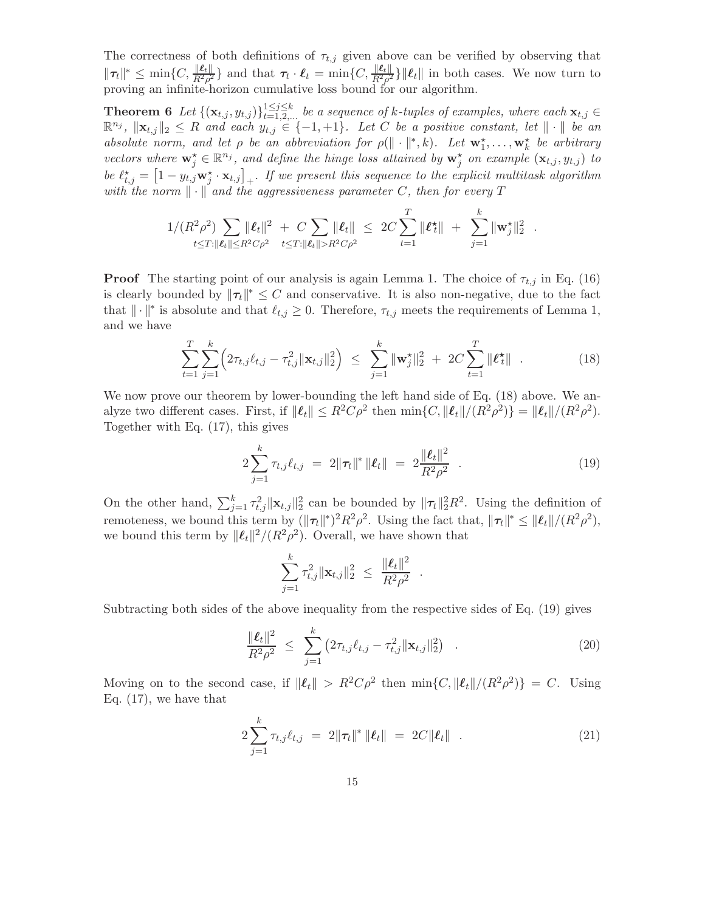The correctness of both definitions of  $\tau_{t,j}$  given above can be verified by observing that  $\|\tau_t\|^* \leq \min\{C, \frac{\|\ell_t\|}{R^2 \rho^2}\}\$  and that  $\tau_t \cdot \ell_t = \min\{C, \frac{\|\ell_t\|}{R^2 \rho^2}\}\|\ell_t\|$  in both cases. We now turn to proving an infinite-horizon cumulative loss bound for our algorithm.

**Theorem 6** Let  $\{(\mathbf{x}_{t,j}, y_{t,j})\}_{t=1,2,...}^{1 \leq j \leq k}$  be a sequence of k-tuples of examples, where each  $\mathbf{x}_{t,j} \in$  $\mathbb{R}^{n_j}$ ,  $\|\mathbf{x}_{t,j}\|_2 \leq R$  and each  $y_{t,j} \in \{-1,+1\}$ . Let C be a positive constant, let  $\|\cdot\|$  be an absolute norm, and let  $\rho$  be an abbreviation for  $\rho(\|\cdot\|^*, k)$ . Let  $\mathbf{w}_1^{\star}, \ldots, \mathbf{w}_k^{\star}$  be arbitrary vectors where  $\mathbf{w}_j^{\star} \in \mathbb{R}^{n_j}$ , and define the hinge loss attained by  $\mathbf{w}_j^{\star}$  on example  $(\mathbf{x}_{t,j}, y_{t,j})$  to be  $\ell_{t,j}^* = \left[1 - y_{t,j} \mathbf{w}_j^* \cdot \mathbf{x}_{t,j}\right]_+$ . If we present this sequence to the explicit multitask algorithm with the norm  $\|\cdot\|$  and the aggressiveness parameter C, then for every T

$$
1/(R^2 \rho^2) \sum_{t \leq T: ||\boldsymbol{\ell}_t|| \leq R^2 C \rho^2} ||\boldsymbol{\ell}_t||^2 + C \sum_{t \leq T: ||\boldsymbol{\ell}_t|| > R^2 C \rho^2} ||\boldsymbol{\ell}_t|| \leq 2C \sum_{t=1}^T ||\boldsymbol{\ell}_t^*|| + \sum_{j=1}^k ||\mathbf{w}_j^*||_2^2.
$$

**Proof** The starting point of our analysis is again Lemma 1. The choice of  $\tau_{t,j}$  in Eq. (16) is clearly bounded by  $\|\tau_t\|^* \leq C$  and conservative. It is also non-negative, due to the fact that  $\|\cdot\|^*$  is absolute and that  $\ell_{t,j} \geq 0$ . Therefore,  $\tau_{t,j}$  meets the requirements of Lemma 1, and we have

$$
\sum_{t=1}^{T} \sum_{j=1}^{k} \left( 2\tau_{t,j} \ell_{t,j} - \tau_{t,j}^2 ||\mathbf{x}_{t,j}||_2^2 \right) \leq \sum_{j=1}^{k} ||\mathbf{w}_j^{\star}||_2^2 + 2C \sum_{t=1}^{T} ||\boldsymbol{\ell}_t^{\star}|| \quad . \tag{18}
$$

We now prove our theorem by lower-bounding the left hand side of Eq.  $(18)$  above. We analyze two different cases. First, if  $\|\ell_t\| \leq R^2 C \rho^2$  then  $\min\{C, \|\ell_t\|/(R^2 \rho^2)\} = \|\ell_t\|/(R^2 \rho^2)$ . Together with Eq. (17), this gives

$$
2\sum_{j=1}^{k} \tau_{t,j} \ell_{t,j} = 2\|\boldsymbol{\tau}_t\|^* \|\boldsymbol{\ell}_t\| = 2\frac{\|\boldsymbol{\ell}_t\|^2}{R^2 \rho^2} \quad . \tag{19}
$$

On the other hand,  $\sum_{j=1}^k \tau_{t,j}^2 \|\mathbf{x}_{t,j}\|_2^2$  can be bounded by  $\|\tau_t\|_2^2 R^2$ . Using the definition of remoteness, we bound this term by  $(\|\tau_t\|^*)^2 R^2 \rho^2$ . Using the fact that,  $\|\tau_t\|^* \leq \|\ell_t\|/(R^2 \rho^2)$ , we bound this term by  $\Vert \ell_t \Vert^2 / (R^2 \rho^2)$ . Overall, we have shown that

$$
\sum_{j=1}^k \tau_{t,j}^2 \|\mathbf{x}_{t,j}\|_2^2 \ \leq \ \frac{\|\boldsymbol{\ell}_t\|^2}{R^2 \rho^2}
$$

Subtracting both sides of the above inequality from the respective sides of Eq. (19) gives

$$
\frac{\|\boldsymbol{\ell}_t\|^2}{R^2 \rho^2} \leq \sum_{j=1}^k \left(2\tau_{t,j}\ell_{t,j} - \tau_{t,j}^2 \|\mathbf{x}_{t,j}\|_2^2\right) \quad . \tag{20}
$$

.

Moving on to the second case, if  $\|\ell_t\| > R^2 C \rho^2$  then  $\min\{C, \|\ell_t\|/(R^2 \rho^2)\} = C$ . Using Eq. (17), we have that

$$
2\sum_{j=1}^{k} \tau_{t,j} \ell_{t,j} = 2\|\tau_t\|^* \|\ell_t\| = 2C\|\ell_t\|.
$$
 (21)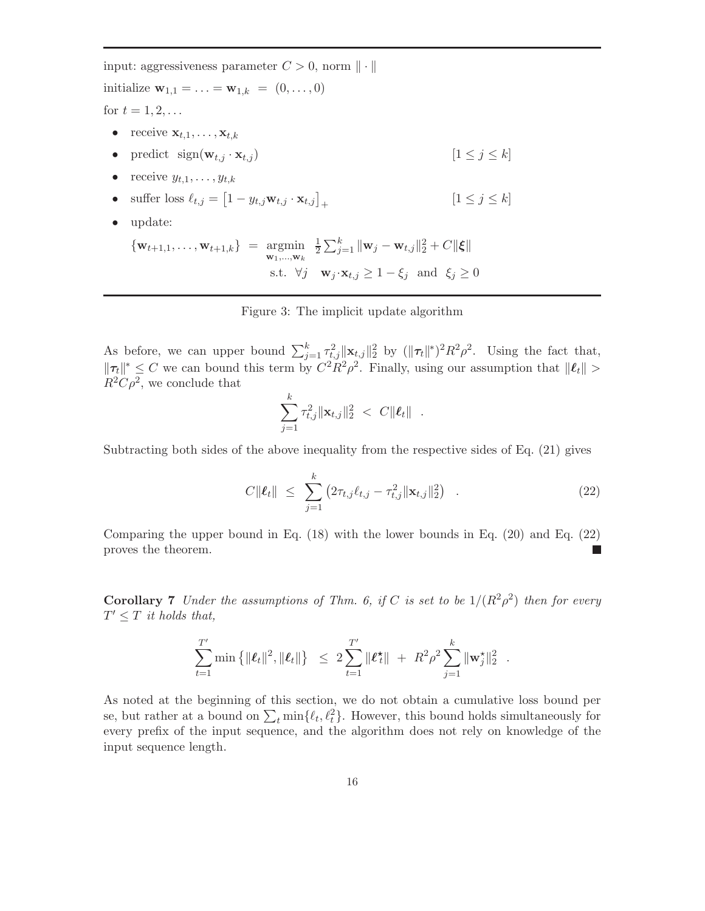input: aggressiveness parameter  $C > 0$ , norm  $\|\cdot\|$ initialize  $\mathbf{w}_{1,1} = \ldots = \mathbf{w}_{1,k} = (0, \ldots, 0)$ for  $t = 1, 2, ...$ • receive  $\mathbf{x}_{t,1}, \ldots, \mathbf{x}_{t,k}$ • predict  $sign(\mathbf{w}_{t,j} \cdot \mathbf{x}_{t,j})$   $[1 \leq j \leq k]$ • receive  $y_{t,1}, \ldots, y_{t,k}$ • suffer loss  $\ell_{t,j} = \left[1 - y_{t,j} \mathbf{w}_{t,j} \cdot \mathbf{x}_{t,j}\right]_+$  $[1 \leq j \leq k]$ • update:  ${\mathbf w}_{t+1,1}, \ldots, {\mathbf w}_{t+1,k}$  =  $\operatornamewithlimits{argmin}_{{\mathbf w}_1, \ldots, {\mathbf w}_k}$ 1  $\frac{1}{2}\sum_{j=1}^k \|\mathbf{w}_j - \mathbf{w}_{t,j}\|_2^2 + C\|\boldsymbol{\xi}\|$ s.t.  $\forall j \quad \mathbf{w}_j \cdot \mathbf{x}_{t,j} \geq 1 - \xi_j \text{ and } \xi_j \geq 0$ 

Figure 3: The implicit update algorithm

As before, we can upper bound  $\sum_{j=1}^k \tau_{t,j}^2 ||\mathbf{x}_{t,j}||_2^2$  by  $(||\tau_t||^*)^2 R^2 \rho^2$ . Using the fact that,  $\|\tau_t\|^* \leq C$  we can bound this term by  $C^2R^2\rho^2$ . Finally, using our assumption that  $\|\ell_t\| >$  $R^2C\rho^2$ , we conclude that

$$
\sum_{j=1}^k \tau_{t,j}^2 \|\mathbf{x}_{t,j}\|_2^2 \ < \ C \|\boldsymbol{\ell}_t\| \ .
$$

Subtracting both sides of the above inequality from the respective sides of Eq. (21) gives

$$
C\|\ell_t\| \leq \sum_{j=1}^k \left(2\tau_{t,j}\ell_{t,j} - \tau_{t,j}^2 \|\mathbf{x}_{t,j}\|_2^2\right) \quad . \tag{22}
$$

Comparing the upper bound in Eq. (18) with the lower bounds in Eq. (20) and Eq. (22) proves the theorem.

**Corollary 7** Under the assumptions of Thm. 6, if C is set to be  $1/(R^2\rho^2)$  then for every  $T' \leq T$  it holds that,

$$
\sum_{t=1}^{T'} \min \left\{ \|\boldsymbol{\ell}_t\|^2, \|\boldsymbol{\ell}_t\| \right\} \;\; \leq \; 2 \sum_{t=1}^{T'} \|\boldsymbol{\ell}_t^\star\| \; + \; R^2 \rho^2 \sum_{j=1}^k \|\mathbf{w}_j^\star\|_2^2 \;\; .
$$

As noted at the beginning of this section, we do not obtain a cumulative loss bound per se, but rather at a bound on  $\sum_{t} \min\{\ell_t, \ell_t^2\}$ . However, this bound holds simultaneously for every prefix of the input sequence, and the algorithm does not rely on knowledge of the input sequence length.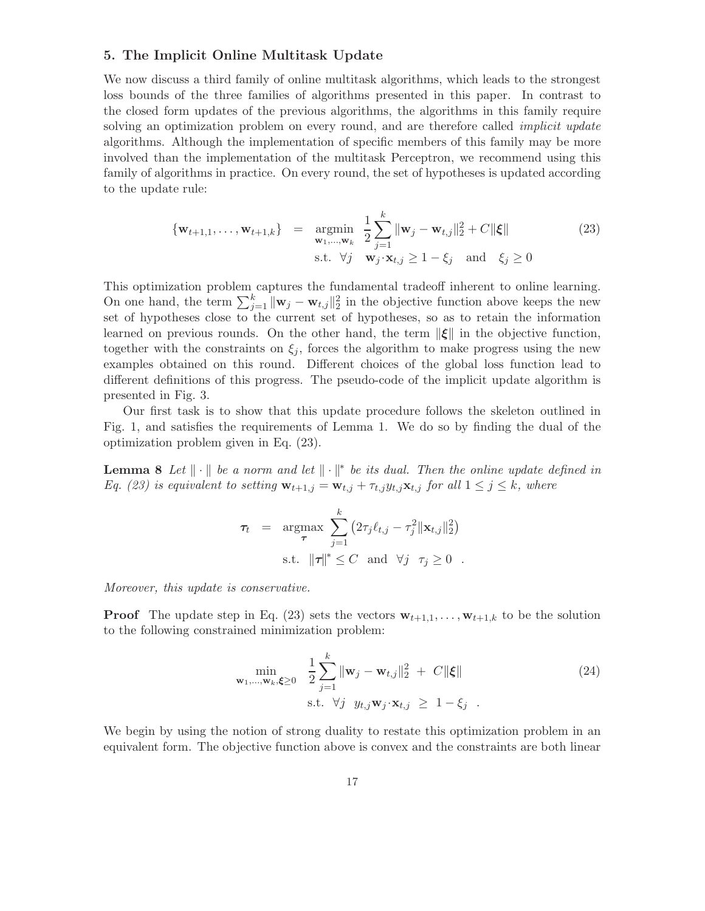### 5. The Implicit Online Multitask Update

We now discuss a third family of online multitask algorithms, which leads to the strongest loss bounds of the three families of algorithms presented in this paper. In contrast to the closed form updates of the previous algorithms, the algorithms in this family require solving an optimization problem on every round, and are therefore called *implicit update* algorithms. Although the implementation of specific members of this family may be more involved than the implementation of the multitask Perceptron, we recommend using this family of algorithms in practice. On every round, the set of hypotheses is updated according to the update rule:

$$
\begin{aligned}\n\{\mathbf{w}_{t+1,1},\ldots,\mathbf{w}_{t+1,k}\} \quad &= \quad \operatorname*{argmin}_{\mathbf{w}_1,\ldots,\mathbf{w}_k} \quad \frac{1}{2} \sum_{j=1}^k \|\mathbf{w}_j - \mathbf{w}_{t,j}\|_2^2 + C\|\boldsymbol{\xi}\| \\
&\text{s.t.} \quad \forall j \quad \mathbf{w}_j \cdot \mathbf{x}_{t,j} \ge 1 - \xi_j \quad \text{and} \quad \xi_j \ge 0\n\end{aligned} \tag{23}
$$

This optimization problem captures the fundamental tradeoff inherent to online learning. On one hand, the term  $\sum_{j=1}^{k} ||\mathbf{w}_j - \mathbf{w}_{t,j}||_2^2$  in the objective function above keeps the new set of hypotheses close to the current set of hypotheses, so as to retain the information learned on previous rounds. On the other hand, the term  $\|\xi\|$  in the objective function, together with the constraints on  $\xi_i$ , forces the algorithm to make progress using the new examples obtained on this round. Different choices of the global loss function lead to different definitions of this progress. The pseudo-code of the implicit update algorithm is presented in Fig. 3.

Our first task is to show that this update procedure follows the skeleton outlined in Fig. 1, and satisfies the requirements of Lemma 1. We do so by finding the dual of the optimization problem given in Eq. (23).

**Lemma 8** Let  $\|\cdot\|$  be a norm and let  $\|\cdot\|$ <sup>\*</sup> be its dual. Then the online update defined in Eq. (23) is equivalent to setting  $\mathbf{w}_{t+1,j} = \mathbf{w}_{t,j} + \tau_{t,j} y_{t,j} \mathbf{x}_{t,j}$  for all  $1 \leq j \leq k$ , where

$$
\tau_t = \underset{\tau}{\operatorname{argmax}} \sum_{j=1}^k (2\tau_j \ell_{t,j} - \tau_j^2 ||\mathbf{x}_{t,j}||_2^2)
$$
  
s.t.  $||\tau||^* \leq C$  and  $\forall j$   $\tau_j \geq 0$ .

Moreover, this update is conservative.

**Proof** The update step in Eq. (23) sets the vectors  $\mathbf{w}_{t+1,1}, \ldots, \mathbf{w}_{t+1,k}$  to be the solution to the following constrained minimization problem:

$$
\min_{\mathbf{w}_1,\dots,\mathbf{w}_k,\boldsymbol{\xi}\geq 0} \quad \frac{1}{2} \sum_{j=1}^k \|\mathbf{w}_j - \mathbf{w}_{t,j}\|_2^2 \ + \ C \|\boldsymbol{\xi}\|
$$
\n
$$
\text{s.t. } \forall j \quad y_{t,j} \mathbf{w}_j \cdot \mathbf{x}_{t,j} \ \geq \ 1 - \xi_j \quad .
$$
\n
$$
(24)
$$

We begin by using the notion of strong duality to restate this optimization problem in an equivalent form. The objective function above is convex and the constraints are both linear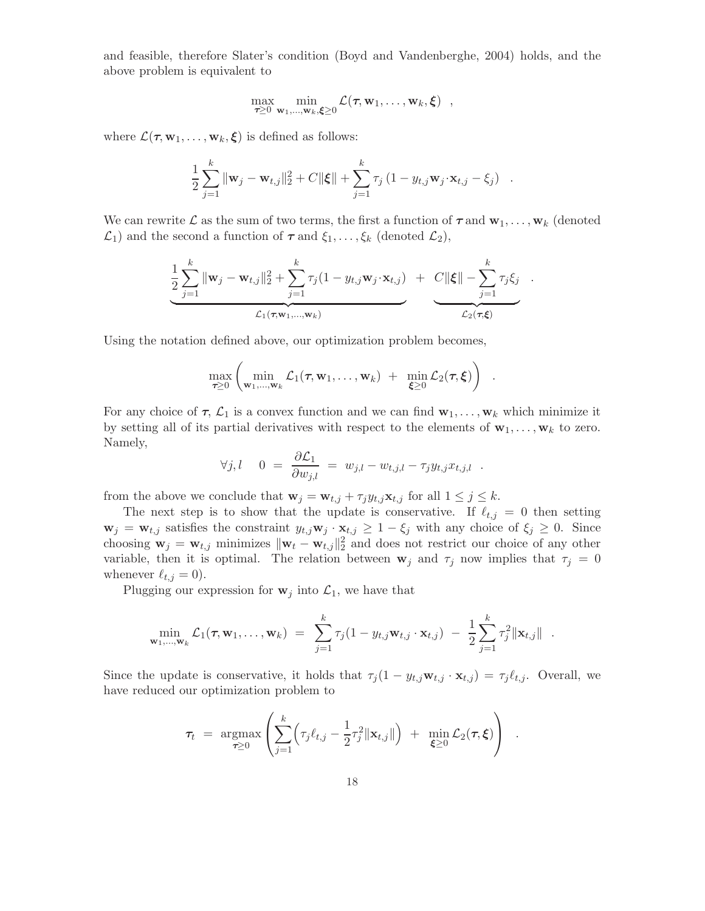and feasible, therefore Slater's condition (Boyd and Vandenberghe, 2004) holds, and the above problem is equivalent to

$$
\max_{\tau \geq 0} \min_{\mathbf{w}_1,\ldots,\mathbf{w}_k,\boldsymbol{\xi} \geq 0} \mathcal{L}(\tau,\mathbf{w}_1,\ldots,\mathbf{w}_k,\boldsymbol{\xi}) ,
$$

where  $\mathcal{L}(\tau, \mathbf{w}_1, \dots, \mathbf{w}_k, \boldsymbol{\xi})$  is defined as follows:

$$
\frac{1}{2}\sum_{j=1}^{k} \|\mathbf{w}_{j} - \mathbf{w}_{t,j}\|_{2}^{2} + C\|\boldsymbol{\xi}\| + \sum_{j=1}^{k} \tau_{j} (1 - y_{t,j}\mathbf{w}_{j} \cdot \mathbf{x}_{t,j} - \xi_{j}) .
$$

We can rewrite  $\mathcal L$  as the sum of two terms, the first a function of  $\tau$  and  $\mathbf{w}_1, \ldots, \mathbf{w}_k$  (denoted  $\mathcal{L}_1$ ) and the second a function of  $\tau$  and  $\xi_1, \ldots, \xi_k$  (denoted  $\mathcal{L}_2$ ),

$$
\frac{1}{2}\sum_{j=1}^{k} ||\mathbf{w}_{j} - \mathbf{w}_{t,j}||_{2}^{2} + \sum_{j=1}^{k} \tau_{j}(1 - y_{t,j}\mathbf{w}_{j}\cdot\mathbf{x}_{t,j}) + C||\boldsymbol{\xi}|| - \sum_{j=1}^{k} \tau_{j}\xi_{j}.
$$
  

$$
\mathcal{L}_{1}(\tau, \mathbf{w}_{1},...,\mathbf{w}_{k})
$$

Using the notation defined above, our optimization problem becomes,

$$
\max_{\tau \geq 0} \left( \min_{\mathbf{w}_1,\ldots,\mathbf{w}_k} \mathcal{L}_1(\tau,\mathbf{w}_1,\ldots,\mathbf{w}_k) + \min_{\boldsymbol{\xi} \geq 0} \mathcal{L}_2(\tau,\boldsymbol{\xi}) \right)
$$

.

For any choice of  $\tau$ ,  $\mathcal{L}_1$  is a convex function and we can find  $\mathbf{w}_1, \ldots, \mathbf{w}_k$  which minimize it by setting all of its partial derivatives with respect to the elements of  $\mathbf{w}_1, \ldots, \mathbf{w}_k$  to zero. Namely,

$$
\forall j, l \quad 0 \ = \ \frac{\partial \mathcal{L}_1}{\partial w_{j,l}} \ = \ w_{j,l} - w_{t,j,l} - \tau_j y_{t,j} x_{t,j,l} \ \ .
$$

from the above we conclude that  $\mathbf{w}_j = \mathbf{w}_{t,j} + \tau_j y_{t,j} \mathbf{x}_{t,j}$  for all  $1 \leq j \leq k$ .

The next step is to show that the update is conservative. If  $\ell_{t,j} = 0$  then setting  $\mathbf{w}_j = \mathbf{w}_{t,j}$  satisfies the constraint  $y_{t,j} \mathbf{w}_j \cdot \mathbf{x}_{t,j} \geq 1 - \xi_j$  with any choice of  $\xi_j \geq 0$ . Since choosing  $\mathbf{w}_j = \mathbf{w}_{t,j}$  minimizes  $\|\mathbf{w}_t - \mathbf{w}_{t,j}\|_2^2$  and does not restrict our choice of any other variable, then it is optimal. The relation between  $\mathbf{w}_j$  and  $\tau_j$  now implies that  $\tau_j = 0$ whenever  $\ell_{t,j} = 0$ ).

Plugging our expression for  $w_j$  into  $\mathcal{L}_1$ , we have that

$$
\min_{\mathbf{w}_1,...,\mathbf{w}_k} \mathcal{L}_1(\tau, \mathbf{w}_1,..., \mathbf{w}_k) = \sum_{j=1}^k \tau_j(1 - y_{t,j} \mathbf{w}_{t,j} \cdot \mathbf{x}_{t,j}) - \frac{1}{2} \sum_{j=1}^k \tau_j^2 \|\mathbf{x}_{t,j}\|.
$$

Since the update is conservative, it holds that  $\tau_j(1 - y_{t,j} \mathbf{w}_{t,j} \cdot \mathbf{x}_{t,j}) = \tau_j \ell_{t,j}$ . Overall, we have reduced our optimization problem to

$$
\tau_t = \underset{\boldsymbol{\tau} \geq 0}{\operatorname{argmax}} \left( \sum_{j=1}^k \left( \tau_j \ell_{t,j} - \frac{1}{2} \tau_j^2 \|\mathbf{x}_{t,j}\| \right) + \underset{\boldsymbol{\xi} \geq 0}{\operatorname{min}} \mathcal{L}_2(\boldsymbol{\tau}, \boldsymbol{\xi}) \right) .
$$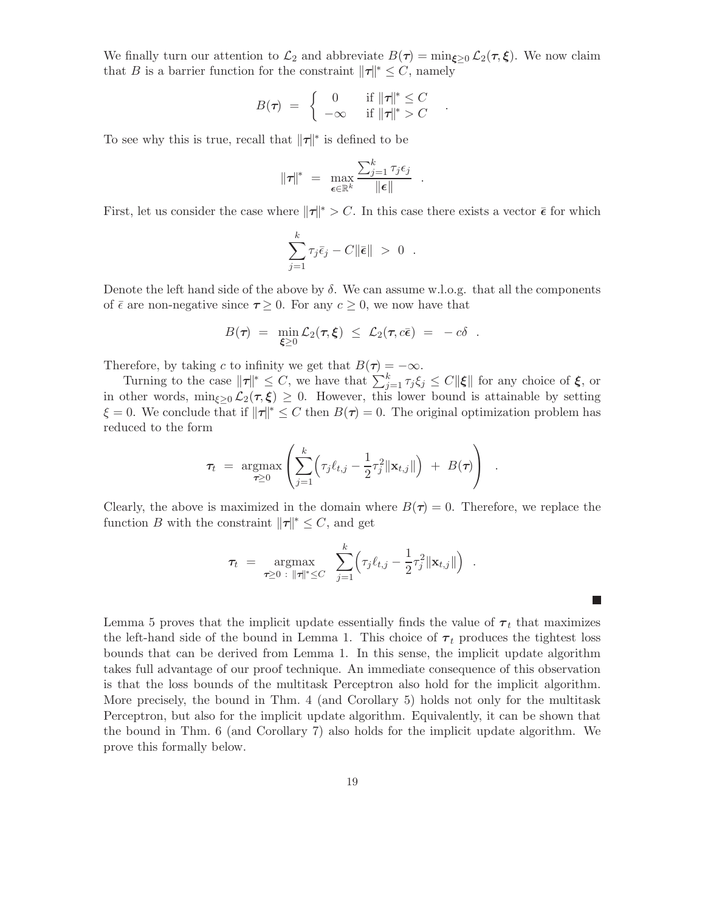We finally turn our attention to  $\mathcal{L}_2$  and abbreviate  $B(\tau) = \min_{\xi \geq 0} \mathcal{L}_2(\tau, \xi)$ . We now claim that B is a barrier function for the constraint  $\|\tau\|^* \leq C$ , namely

$$
B(\tau) = \begin{cases} 0 & \text{if } ||\tau||^* \leq C \\ -\infty & \text{if } ||\tau||^* > C \end{cases}.
$$

To see why this is true, recall that  $\|\tau\|^*$  is defined to be

$$
\|\tau\|^* = \max_{\boldsymbol{\epsilon} \in \mathbb{R}^k} \frac{\sum_{j=1}^k \tau_j \epsilon_j}{\|\boldsymbol{\epsilon}\|}.
$$

First, let us consider the case where  $\|\tau\|^* > C$ . In this case there exists a vector  $\bar{\epsilon}$  for which

$$
\sum_{j=1}^k \tau_j \bar{\epsilon}_j - C \|\bar{\epsilon}\| > 0.
$$

Denote the left hand side of the above by  $\delta$ . We can assume w.l.o.g. that all the components of  $\bar{\epsilon}$  are non-negative since  $\tau \geq 0$ . For any  $c \geq 0$ , we now have that

$$
B(\tau) = \min_{\xi \geq 0} \mathcal{L}_2(\tau, \xi) \leq \mathcal{L}_2(\tau, c\bar{\epsilon}) = -c\delta.
$$

Therefore, by taking c to infinity we get that  $B(\tau) = -\infty$ .

Turning to the case  $\|\tau\|^* \leq C$ , we have that  $\sum_{j=1}^k \tau_j \xi_j \leq C \|\xi\|$  for any choice of  $\xi$ , or in other words,  $\min_{\xi\geq 0} \mathcal{L}_2(\tau, \xi) \geq 0$ . However, this lower bound is attainable by setting  $\xi = 0$ . We conclude that if  $\|\tau\|^* \leq C$  then  $B(\tau) = 0$ . The original optimization problem has reduced to the form

$$
\tau_t = \underset{\boldsymbol{\tau} \geq 0}{\operatorname{argmax}} \left( \sum_{j=1}^k \left( \tau_j \ell_{t,j} - \frac{1}{2} \tau_j^2 \|\mathbf{x}_{t,j}\| \right) + B(\boldsymbol{\tau}) \right) .
$$

Clearly, the above is maximized in the domain where  $B(\tau) = 0$ . Therefore, we replace the function B with the constraint  $\|\tau\|^* \leq C$ , and get

$$
\tau_t = \underset{\tau \geq 0 \; : \; ||\tau||^* \leq C}{\text{argmax}} \sum_{j=1}^k \Bigl( \tau_j \ell_{t,j} - \frac{1}{2} \tau_j^2 ||\mathbf{x}_{t,j}|| \Bigr) \; .
$$

Lemma 5 proves that the implicit update essentially finds the value of  $\tau_t$  that maximizes the left-hand side of the bound in Lemma 1. This choice of  $\tau_t$  produces the tightest loss bounds that can be derived from Lemma 1. In this sense, the implicit update algorithm takes full advantage of our proof technique. An immediate consequence of this observation is that the loss bounds of the multitask Perceptron also hold for the implicit algorithm. More precisely, the bound in Thm. 4 (and Corollary 5) holds not only for the multitask Perceptron, but also for the implicit update algorithm. Equivalently, it can be shown that the bound in Thm. 6 (and Corollary 7) also holds for the implicit update algorithm. We prove this formally below.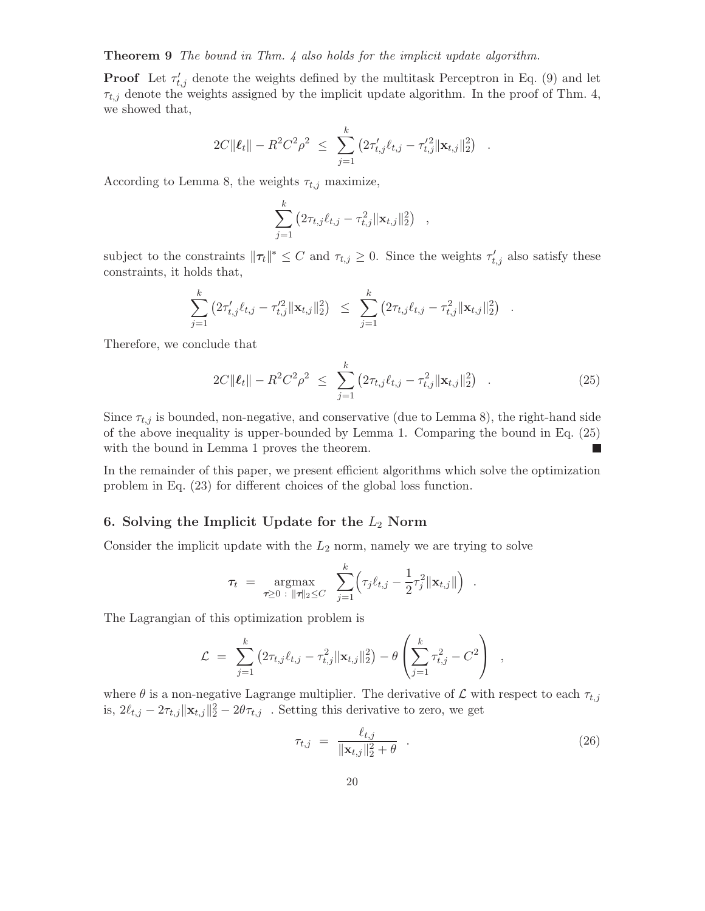Theorem 9 The bound in Thm. 4 also holds for the implicit update algorithm.

**Proof** Let  $\tau'_{t,j}$  denote the weights defined by the multitask Perceptron in Eq. (9) and let  $\tau_{t,j}$  denote the weights assigned by the implicit update algorithm. In the proof of Thm. 4, we showed that,

$$
2C\|\boldsymbol{\ell}_t\| - R^2C^2\rho^2 \leq \sum_{j=1}^k \left(2\tau'_{t,j}\ell_{t,j} - \tau'_{t,j}^2 \|\mathbf{x}_{t,j}\|_2^2\right) .
$$

According to Lemma 8, the weights  $\tau_{t,j}$  maximize,

$$
\sum_{j=1}^k (2\tau_{t,j}\ell_{t,j} - \tau_{t,j}^2 ||\mathbf{x}_{t,j}||_2^2),
$$

subject to the constraints  $\|\tau_t\|^* \leq C$  and  $\tau_{t,j} \geq 0$ . Since the weights  $\tau'_{t,j}$  also satisfy these constraints, it holds that,

$$
\sum_{j=1}^k \left( 2\tau_{t,j}'\ell_{t,j} - \tau_{t,j}'^2 \|\mathbf{x}_{t,j}\|_2^2 \right) \leq \sum_{j=1}^k \left( 2\tau_{t,j}\ell_{t,j} - \tau_{t,j}^2 \|\mathbf{x}_{t,j}\|_2^2 \right)
$$

Therefore, we conclude that

$$
2C\|\boldsymbol{\ell}_t\| - R^2 C^2 \rho^2 \leq \sum_{j=1}^k \left(2\tau_{t,j}\ell_{t,j} - \tau_{t,j}^2 \|\mathbf{x}_{t,j}\|_2^2\right) \quad . \tag{25}
$$

.

Since  $\tau_{t,j}$  is bounded, non-negative, and conservative (due to Lemma 8), the right-hand side of the above inequality is upper-bounded by Lemma 1. Comparing the bound in Eq. (25) with the bound in Lemma 1 proves the theorem.  $\mathbb{R}^n$ 

In the remainder of this paper, we present efficient algorithms which solve the optimization problem in Eq. (23) for different choices of the global loss function.

# 6. Solving the Implicit Update for the  $L_2$  Norm

Consider the implicit update with the  $L_2$  norm, namely we are trying to solve

$$
\tau_t = \operatorname*{argmax}_{\tau \geq 0 \; : \; \|\tau\|_2 \leq C} \; \; \sum_{j=1}^k \Bigl( \tau_j \ell_{t,j} - \frac{1}{2} \tau_j^2 \|\mathbf{x}_{t,j}\| \Bigr) \enspace .
$$

The Lagrangian of this optimization problem is

$$
\mathcal{L} = \sum_{j=1}^k (2\tau_{t,j}\ell_{t,j} - \tau_{t,j}^2 ||\mathbf{x}_{t,j}||_2^2) - \theta \left( \sum_{j=1}^k \tau_{t,j}^2 - C^2 \right) ,
$$

where  $\theta$  is a non-negative Lagrange multiplier. The derivative of  $\mathcal L$  with respect to each  $\tau_{t,j}$ is,  $2\ell_{t,j} - 2\tau_{t,j} ||\mathbf{x}_{t,j}||_2^2 - 2\theta\tau_{t,j}$ . Setting this derivative to zero, we get

$$
\tau_{t,j} = \frac{\ell_{t,j}}{\|\mathbf{x}_{t,j}\|_2^2 + \theta} \quad . \tag{26}
$$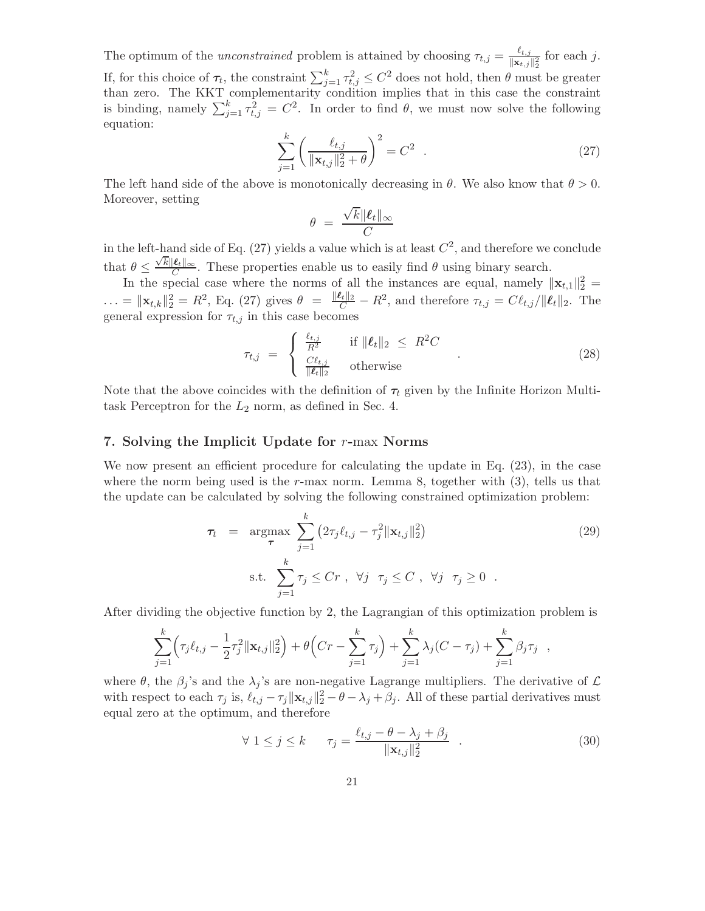The optimum of the *unconstrained* problem is attained by choosing  $\tau_{t,j} = \frac{\ell_{t,j}}{\|\mathbf{x}_t\|}$  $\frac{\epsilon_{t,j}}{\|\mathbf{x}_{t,j}\|_2^2}$  for each j.

If, for this choice of  $\tau_t$ , the constraint  $\sum_{j=1}^k \tau_{t,j}^2 \leq C^2$  does not hold, then  $\theta$  must be greater than zero. The KKT complementarity condition implies that in this case the constraint is binding, namely  $\sum_{j=1}^{k} \tau_{t,j}^2 = C^2$ . In order to find  $\theta$ , we must now solve the following equation:

$$
\sum_{j=1}^{k} \left( \frac{\ell_{t,j}}{\|\mathbf{x}_{t,j}\|_{2}^{2} + \theta} \right)^{2} = C^{2} . \tag{27}
$$

The left hand side of the above is monotonically decreasing in  $\theta$ . We also know that  $\theta > 0$ . Moreover, setting

$$
\theta = \frac{\sqrt{k} \|\boldsymbol{\ell}_t\|_{\infty}}{C}
$$

in the left-hand side of Eq.  $(27)$  yields a value which is at least  $C<sup>2</sup>$ , and therefore we conclude that  $\theta \leq \frac{\sqrt{k} \|\ell_t\|_{\infty}}{C}$ . These properties enable us to easily find  $\theta$  using binary search.

In the special case where the norms of all the instances are equal, namely  $||\mathbf{x}_{t,1}||_2^2 =$  $\ldots = \|\mathbf{x}_{t,k}\|_2^2 = R^2$ , Eq. (27) gives  $\theta = \frac{\|\boldsymbol{\ell}_t\|_2}{C} - R^2$ , and therefore  $\tau_{t,j} = C\ell_{t,j}/\|\boldsymbol{\ell}_t\|_2$ . The general expression for  $\tau_{t,j}$  in this case becomes

$$
\tau_{t,j} = \begin{cases} \frac{\ell_{t,j}}{R^2} & \text{if } \| \ell_t \|_2 \le R^2 C \\ \frac{C \ell_{t,j}}{\| \ell_t \|_2} & \text{otherwise} \end{cases} \tag{28}
$$

Note that the above coincides with the definition of  $\tau_t$  given by the Infinite Horizon Multitask Perceptron for the  $L_2$  norm, as defined in Sec. 4.

# 7. Solving the Implicit Update for  $r$ -max Norms

We now present an efficient procedure for calculating the update in Eq. (23), in the case where the norm being used is the r-max norm. Lemma 8, together with  $(3)$ , tells us that the update can be calculated by solving the following constrained optimization problem:

$$
\tau_t = \underset{\tau}{\operatorname{argmax}} \sum_{j=1}^k \left( 2\tau_j \ell_{t,j} - \tau_j^2 \|\mathbf{x}_{t,j}\|_2^2 \right) \tag{29}
$$
\n
$$
\text{s.t.} \sum_{j=1}^k \tau_j \le Cr \ , \ \forall j \ \tau_j \le C \ , \ \forall j \ \tau_j \ge 0 \ .
$$

After dividing the objective function by 2, the Lagrangian of this optimization problem is

$$
\sum_{j=1}^k \left( \tau_j \ell_{t,j} - \frac{1}{2} \tau_j^2 \|\mathbf{x}_{t,j}\|_2^2 \right) + \theta \left( Cr - \sum_{j=1}^k \tau_j \right) + \sum_{j=1}^k \lambda_j (C - \tau_j) + \sum_{j=1}^k \beta_j \tau_j ,
$$

where  $\theta$ , the  $\beta_j$ 's and the  $\lambda_j$ 's are non-negative Lagrange multipliers. The derivative of  $\mathcal L$ with respect to each  $\tau_j$  is,  $\ell_{t,j} - \tau_j ||\mathbf{x}_{t,j}||_2^2 - \theta - \lambda_j + \beta_j$ . All of these partial derivatives must equal zero at the optimum, and therefore

$$
\forall 1 \le j \le k \qquad \tau_j = \frac{\ell_{t,j} - \theta - \lambda_j + \beta_j}{\|\mathbf{x}_{t,j}\|_2^2} \quad . \tag{30}
$$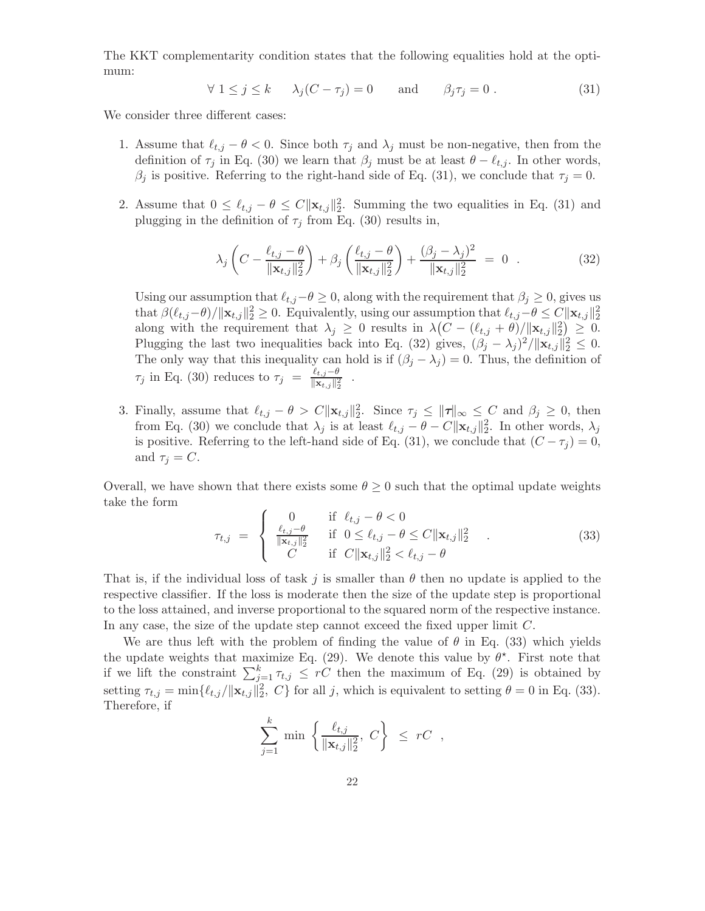The KKT complementarity condition states that the following equalities hold at the optimum:

$$
\forall 1 \le j \le k \qquad \lambda_j(C - \tau_j) = 0 \qquad \text{and} \qquad \beta_j \tau_j = 0 \,. \tag{31}
$$

We consider three different cases:

- 1. Assume that  $\ell_{t,j} \theta < 0$ . Since both  $\tau_j$  and  $\lambda_j$  must be non-negative, then from the definition of  $\tau_j$  in Eq. (30) we learn that  $\beta_j$  must be at least  $\theta - \ell_{t,j}$ . In other words,  $\beta_j$  is positive. Referring to the right-hand side of Eq. (31), we conclude that  $\tau_j = 0$ .
- 2. Assume that  $0 \leq \ell_{t,j} \theta \leq C ||\mathbf{x}_{t,j}||_2^2$ . Summing the two equalities in Eq. (31) and plugging in the definition of  $\tau_j$  from Eq. (30) results in,

$$
\lambda_j \left( C - \frac{\ell_{t,j} - \theta}{\|\mathbf{x}_{t,j}\|_2^2} \right) + \beta_j \left( \frac{\ell_{t,j} - \theta}{\|\mathbf{x}_{t,j}\|_2^2} \right) + \frac{(\beta_j - \lambda_j)^2}{\|\mathbf{x}_{t,j}\|_2^2} = 0 \quad . \tag{32}
$$

Using our assumption that  $\ell_{t,j}-\theta \geq 0$ , along with the requirement that  $\beta_j \geq 0$ , gives us that  $\beta(\ell_{t,j}-\theta)/\|\mathbf{x}_{t,j}\|_2^2 \geq 0$ . Equivalently, using our assumption that  $\ell_{t,j}-\theta \leq C\|\mathbf{x}_{t,j}\|_2^2$ along with the requirement that  $\lambda_j \geq 0$  results in  $\lambda (C - (\ell_{t,j} + \theta) / ||\mathbf{x}_{t,j}||_2^2) \geq 0$ . Plugging the last two inequalities back into Eq. (32) gives,  $(\beta_j - \lambda_j)^2 / ||\mathbf{x}_{t,j}||_2^2 \leq 0$ . The only way that this inequality can hold is if  $(\beta_i - \lambda_i) = 0$ . Thus, the definition of  $\tau_j$  in Eq. (30) reduces to  $\tau_j = \frac{\ell_{t,j}-\theta}{\|\mathbf{x}_{t,j}\|^2}$  $\overline{\|\mathbf{x}_{t,j}\|_2^2}$ .

3. Finally, assume that  $\ell_{t,j} - \theta > C \|\mathbf{x}_{t,j}\|_2^2$ . Since  $\tau_j \leq \|\boldsymbol{\tau}\|_{\infty} \leq C$  and  $\beta_j \geq 0$ , then from Eq. (30) we conclude that  $\lambda_j$  is at least  $\ell_{t,j} - \theta - C ||\mathbf{x}_{t,j}||_2^2$ . In other words,  $\lambda_j$ is positive. Referring to the left-hand side of Eq. (31), we conclude that  $(C - \tau_i) = 0$ , and  $\tau_j = C$ .

Overall, we have shown that there exists some  $\theta \geq 0$  such that the optimal update weights take the form

$$
\tau_{t,j} = \begin{cases}\n0 & \text{if } \ell_{t,j} - \theta < 0 \\
\frac{\ell_{t,j} - \theta}{\|\mathbf{x}_{t,j}\|_2^2} & \text{if } 0 \le \ell_{t,j} - \theta \le C \|\mathbf{x}_{t,j}\|_2^2 \\
C & \text{if } C \|\mathbf{x}_{t,j}\|_2^2 < \ell_{t,j} - \theta\n\end{cases} \tag{33}
$$

That is, if the individual loss of task j is smaller than  $\theta$  then no update is applied to the respective classifier. If the loss is moderate then the size of the update step is proportional to the loss attained, and inverse proportional to the squared norm of the respective instance. In any case, the size of the update step cannot exceed the fixed upper limit C.

We are thus left with the problem of finding the value of  $\theta$  in Eq. (33) which yields the update weights that maximize Eq. (29). We denote this value by  $\theta^*$ . First note that if we lift the constraint  $\sum_{j=1}^{k} \tau_{t,j} \leq rC$  then the maximum of Eq. (29) is obtained by setting  $\tau_{t,j} = \min\{\ell_{t,j}/\|\mathbf{x}_{t,j}\|_2^2, C\}$  for all j, which is equivalent to setting  $\theta = 0$  in Eq. (33). Therefore, if

$$
\sum_{j=1}^k \min \left\{ \frac{\ell_{t,j}}{\|\mathbf{x}_{t,j}\|_2^2}, \ C \right\} \ \leq \ rC \ ,
$$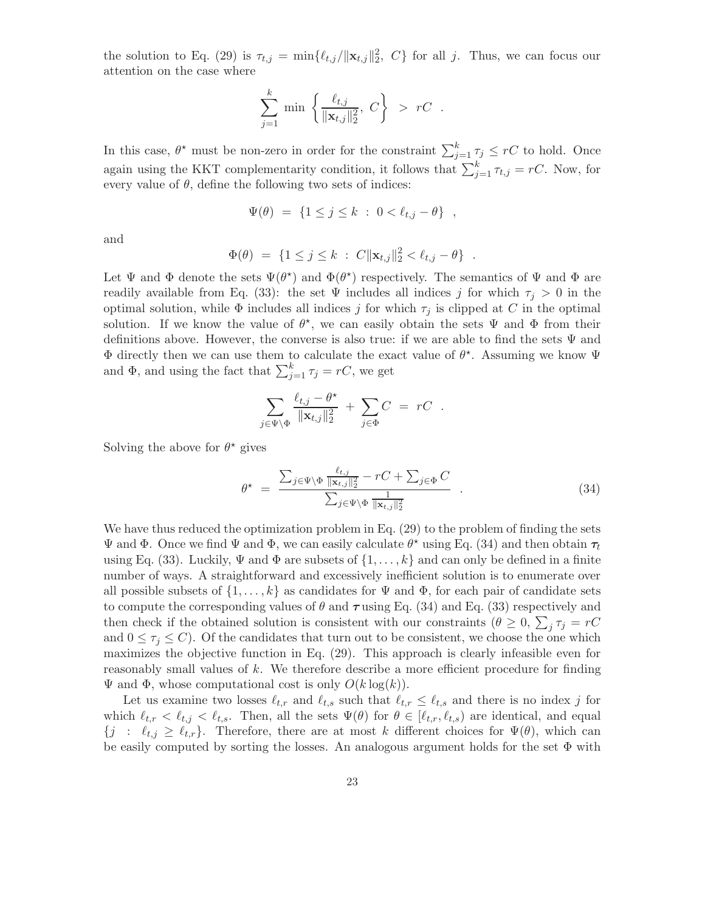the solution to Eq. (29) is  $\tau_{t,j} = \min\{\ell_{t,j}/\|\mathbf{x}_{t,j}\|_2^2, C\}$  for all j. Thus, we can focus our attention on the case where

$$
\sum_{j=1}^k \min \left\{ \frac{\ell_{t,j}}{\|\mathbf{x}_{t,j}\|_2^2}, \ C \right\} > rC .
$$

In this case,  $\theta^*$  must be non-zero in order for the constraint  $\sum_{j=1}^k \tau_j \leq rC$  to hold. Once again using the KKT complementarity condition, it follows that  $\sum_{j=1}^{k} \tau_{t,j} = rC$ . Now, for every value of  $\theta$ , define the following two sets of indices:

$$
\Psi(\theta) = \{1 \le j \le k : 0 < \ell_{t,j} - \theta\},
$$

and

$$
\Phi(\theta) = \{1 \le j \le k : C \|\mathbf{x}_{t,j}\|_2^2 < \ell_{t,j} - \theta\} .
$$

Let  $\Psi$  and  $\Phi$  denote the sets  $\Psi(\theta^*)$  and  $\Phi(\theta^*)$  respectively. The semantics of  $\Psi$  and  $\Phi$  are readily available from Eq. (33): the set  $\Psi$  includes all indices j for which  $\tau_i > 0$  in the optimal solution, while  $\Phi$  includes all indices j for which  $\tau_j$  is clipped at C in the optimal solution. If we know the value of  $\theta^*$ , we can easily obtain the sets  $\Psi$  and  $\Phi$  from their definitions above. However, the converse is also true: if we are able to find the sets  $\Psi$  and  $\Phi$  directly then we can use them to calculate the exact value of  $\theta^*$ . Assuming we know  $\Psi$ and  $\Phi$ , and using the fact that  $\sum_{j=1}^{k} \tau_j = rC$ , we get

$$
\sum_{j\in\Psi\setminus\Phi}\frac{\ell_{t,j}-\theta^\star}{\|\mathbf{x}_{t,j}\|_2^2}+\sum_{j\in\Phi}C\ =\ rC\ \ .
$$

Solving the above for  $\theta^*$  gives

$$
\theta^* = \frac{\sum_{j \in \Psi \backslash \Phi} \frac{\ell_{t,j}}{\|\mathbf{x}_{t,j}\|_2^2} - rC + \sum_{j \in \Phi} C}{\sum_{j \in \Psi \backslash \Phi} \frac{1}{\|\mathbf{x}_{t,j}\|_2^2}} \tag{34}
$$

We have thus reduced the optimization problem in Eq. (29) to the problem of finding the sets Ψ and Φ. Once we find Ψ and Φ, we can easily calculate  $\theta^*$  using Eq. (34) and then obtain  $\tau_t$ using Eq. (33). Luckily,  $\Psi$  and  $\Phi$  are subsets of  $\{1,\ldots,k\}$  and can only be defined in a finite number of ways. A straightforward and excessively inefficient solution is to enumerate over all possible subsets of  $\{1, \ldots, k\}$  as candidates for  $\Psi$  and  $\Phi$ , for each pair of candidate sets to compute the corresponding values of  $\theta$  and  $\tau$  using Eq. (34) and Eq. (33) respectively and then check if the obtained solution is consistent with our constraints  $(\theta \geq 0, \sum_j \tau_j = rC)$ and  $0 \leq \tau_i \leq C$ ). Of the candidates that turn out to be consistent, we choose the one which maximizes the objective function in Eq. (29). This approach is clearly infeasible even for reasonably small values of k. We therefore describe a more efficient procedure for finding  $\Psi$  and  $\Phi$ , whose computational cost is only  $O(k \log(k))$ .

Let us examine two losses  $\ell_{t,r}$  and  $\ell_{t,s}$  such that  $\ell_{t,r} \leq \ell_{t,s}$  and there is no index j for which  $\ell_{t,r} < \ell_{t,j} < \ell_{t,s}$ . Then, all the sets  $\Psi(\theta)$  for  $\theta \in [\ell_{t,r}, \ell_{t,s})$  are identical, and equal  ${j : \ell_{t,j} \geq \ell_{t,r}}$ . Therefore, there are at most k different choices for  $\Psi(\theta)$ , which can be easily computed by sorting the losses. An analogous argument holds for the set  $\Phi$  with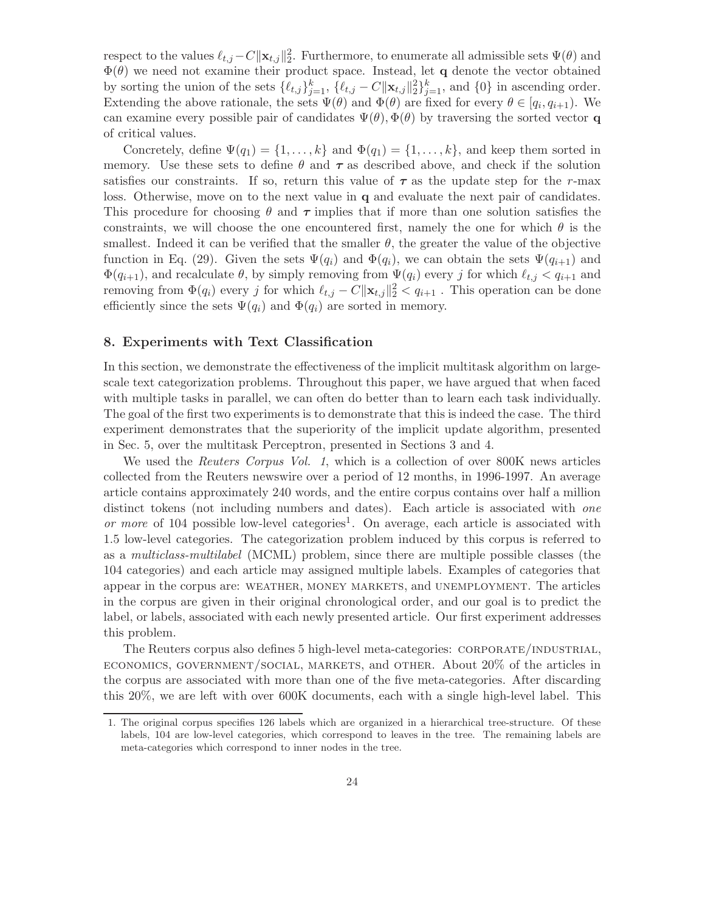respect to the values  $\ell_{t,j} - C \|\mathbf{x}_{t,j}\|_2^2$ . Furthermore, to enumerate all admissible sets  $\Psi(\theta)$  and  $\Phi(\theta)$  we need not examine their product space. Instead, let q denote the vector obtained by sorting the union of the sets  $\{\ell_{t,j}\}_{j=1}^k$ ,  $\{\ell_{t,j} - C \|\mathbf{x}_{t,j}\|_2^2\}_{j=1}^k$ , and  $\{0\}$  in ascending order. Extending the above rationale, the sets  $\Psi(\theta)$  and  $\Phi(\theta)$  are fixed for every  $\theta \in [q_i, q_{i+1})$ . We can examine every possible pair of candidates  $\Psi(\theta), \Phi(\theta)$  by traversing the sorted vector q of critical values.

Concretely, define  $\Psi(q_1) = \{1, \ldots, k\}$  and  $\Phi(q_1) = \{1, \ldots, k\}$ , and keep them sorted in memory. Use these sets to define  $\theta$  and  $\tau$  as described above, and check if the solution satisfies our constraints. If so, return this value of  $\tau$  as the update step for the r-max loss. Otherwise, move on to the next value in **q** and evaluate the next pair of candidates. This procedure for choosing  $\theta$  and  $\tau$  implies that if more than one solution satisfies the constraints, we will choose the one encountered first, namely the one for which  $\theta$  is the smallest. Indeed it can be verified that the smaller  $\theta$ , the greater the value of the objective function in Eq. (29). Given the sets  $\Psi(q_i)$  and  $\Phi(q_i)$ , we can obtain the sets  $\Psi(q_{i+1})$  and  $\Phi(q_{i+1})$ , and recalculate  $\theta$ , by simply removing from  $\Psi(q_i)$  every j for which  $\ell_{t,j} < q_{i+1}$  and removing from  $\Phi(q_i)$  every j for which  $\ell_{t,j} - C \|\mathbf{x}_{t,j}\|_2^2 < q_{i+1}$ . This operation can be done efficiently since the sets  $\Psi(q_i)$  and  $\Phi(q_i)$  are sorted in memory.

#### 8. Experiments with Text Classification

In this section, we demonstrate the effectiveness of the implicit multitask algorithm on largescale text categorization problems. Throughout this paper, we have argued that when faced with multiple tasks in parallel, we can often do better than to learn each task individually. The goal of the first two experiments is to demonstrate that this is indeed the case. The third experiment demonstrates that the superiority of the implicit update algorithm, presented in Sec. 5, over the multitask Perceptron, presented in Sections 3 and 4.

We used the Reuters Corpus Vol. 1, which is a collection of over 800K news articles collected from the Reuters newswire over a period of 12 months, in 1996-1997. An average article contains approximately 240 words, and the entire corpus contains over half a million distinct tokens (not including numbers and dates). Each article is associated with *one* or more of 104 possible low-level categories<sup>1</sup>. On average, each article is associated with 1.5 low-level categories. The categorization problem induced by this corpus is referred to as a multiclass-multilabel (MCML) problem, since there are multiple possible classes (the 104 categories) and each article may assigned multiple labels. Examples of categories that appear in the corpus are: weather, money markets, and unemployment. The articles in the corpus are given in their original chronological order, and our goal is to predict the label, or labels, associated with each newly presented article. Our first experiment addresses this problem.

The Reuters corpus also defines 5 high-level meta-categories: CORPORATE/INDUSTRIAL, economics, government/social, markets, and other. About 20% of the articles in the corpus are associated with more than one of the five meta-categories. After discarding this 20%, we are left with over 600K documents, each with a single high-level label. This

<sup>1.</sup> The original corpus specifies 126 labels which are organized in a hierarchical tree-structure. Of these labels, 104 are low-level categories, which correspond to leaves in the tree. The remaining labels are meta-categories which correspond to inner nodes in the tree.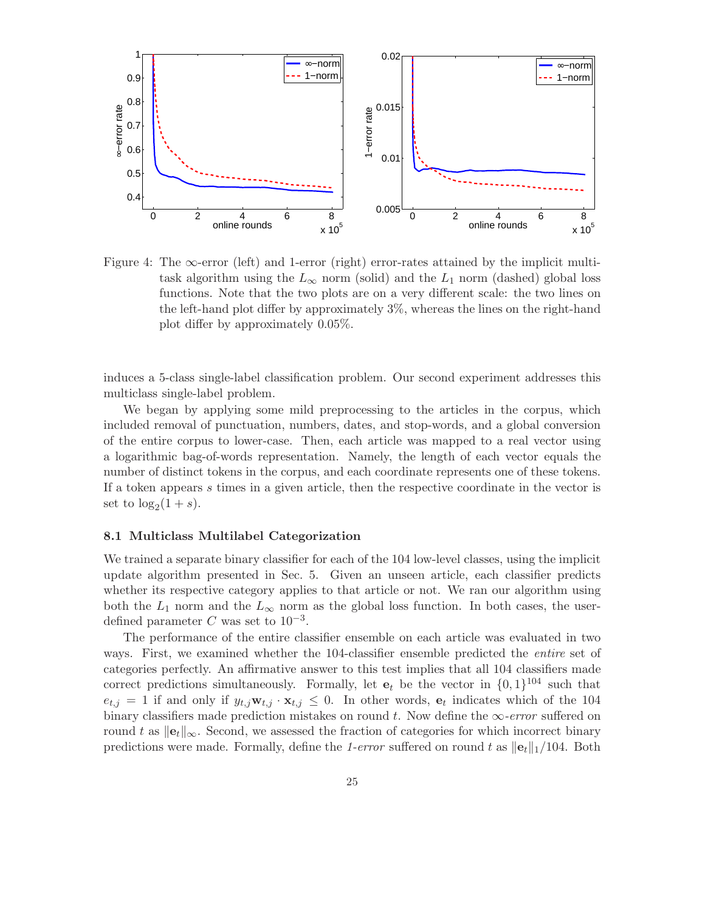

Figure 4: The  $\infty$ -error (left) and 1-error (right) error-rates attained by the implicit multitask algorithm using the  $L_{\infty}$  norm (solid) and the  $L_1$  norm (dashed) global loss functions. Note that the two plots are on a very different scale: the two lines on the left-hand plot differ by approximately 3%, whereas the lines on the right-hand plot differ by approximately 0.05%.

induces a 5-class single-label classification problem. Our second experiment addresses this multiclass single-label problem.

We began by applying some mild preprocessing to the articles in the corpus, which included removal of punctuation, numbers, dates, and stop-words, and a global conversion of the entire corpus to lower-case. Then, each article was mapped to a real vector using a logarithmic bag-of-words representation. Namely, the length of each vector equals the number of distinct tokens in the corpus, and each coordinate represents one of these tokens. If a token appears s times in a given article, then the respective coordinate in the vector is set to  $\log_2(1+s)$ .

#### 8.1 Multiclass Multilabel Categorization

We trained a separate binary classifier for each of the 104 low-level classes, using the implicit update algorithm presented in Sec. 5. Given an unseen article, each classifier predicts whether its respective category applies to that article or not. We ran our algorithm using both the  $L_1$  norm and the  $L_{\infty}$  norm as the global loss function. In both cases, the userdefined parameter C was set to  $10^{-3}$ .

The performance of the entire classifier ensemble on each article was evaluated in two ways. First, we examined whether the 104-classifier ensemble predicted the *entire* set of categories perfectly. An affirmative answer to this test implies that all 104 classifiers made correct predictions simultaneously. Formally, let  $e_t$  be the vector in  $\{0,1\}^{104}$  such that  $e_{t,j} = 1$  if and only if  $y_{t,j} \mathbf{w}_{t,j} \cdot \mathbf{x}_{t,j} \leq 0$ . In other words,  $\mathbf{e}_t$  indicates which of the 104 binary classifiers made prediction mistakes on round t. Now define the  $\infty$ -error suffered on round t as  $\|\mathbf{e}_t\|_{\infty}$ . Second, we assessed the fraction of categories for which incorrect binary predictions were made. Formally, define the 1-error suffered on round t as  $||e_t||_1/104$ . Both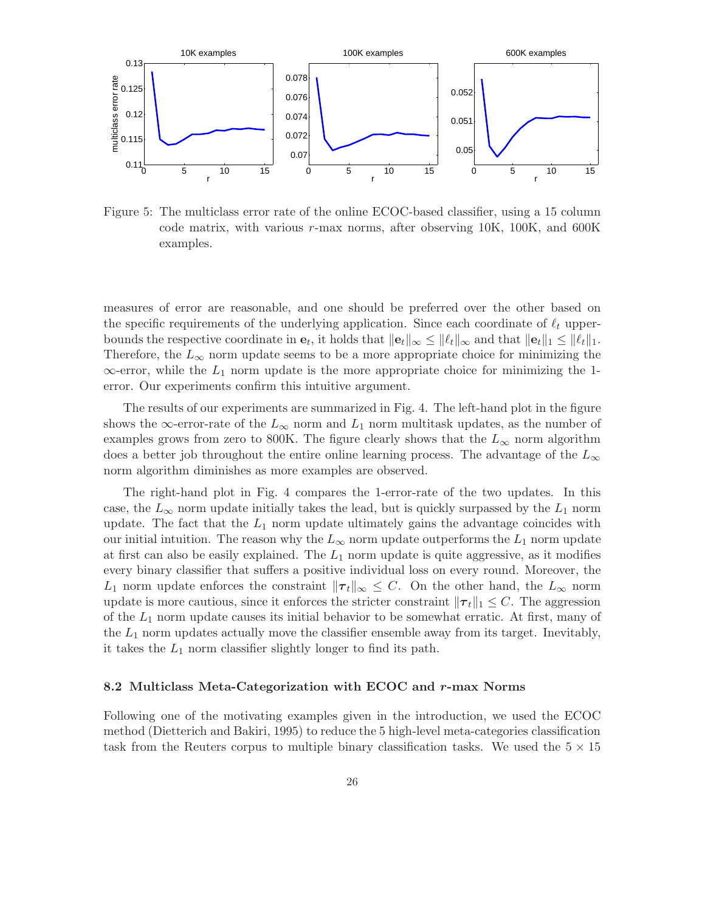

Figure 5: The multiclass error rate of the online ECOC-based classifier, using a 15 column code matrix, with various r-max norms, after observing 10K, 100K, and 600K examples.

measures of error are reasonable, and one should be preferred over the other based on the specific requirements of the underlying application. Since each coordinate of  $\ell_t$  upperbounds the respective coordinate in  $e_t$ , it holds that  $||e_t||_{\infty} \le ||\ell_t||_{\infty}$  and that  $||e_t||_1 \le ||\ell_t||_1$ . Therefore, the  $L_{\infty}$  norm update seems to be a more appropriate choice for minimizing the  $\infty$ -error, while the  $L_1$  norm update is the more appropriate choice for minimizing the 1error. Our experiments confirm this intuitive argument.

The results of our experiments are summarized in Fig. 4. The left-hand plot in the figure shows the  $\infty$ -error-rate of the  $L_{\infty}$  norm and  $L_1$  norm multitask updates, as the number of examples grows from zero to 800K. The figure clearly shows that the  $L_{\infty}$  norm algorithm does a better job throughout the entire online learning process. The advantage of the  $L_{\infty}$ norm algorithm diminishes as more examples are observed.

The right-hand plot in Fig. 4 compares the 1-error-rate of the two updates. In this case, the  $L_{\infty}$  norm update initially takes the lead, but is quickly surpassed by the  $L_1$  norm update. The fact that the  $L_1$  norm update ultimately gains the advantage coincides with our initial intuition. The reason why the  $L_{\infty}$  norm update outperforms the  $L_1$  norm update at first can also be easily explained. The  $L_1$  norm update is quite aggressive, as it modifies every binary classifier that suffers a positive individual loss on every round. Moreover, the  $L_1$  norm update enforces the constraint  $\|\tau_t\|_{\infty} \leq C$ . On the other hand, the  $L_{\infty}$  norm update is more cautious, since it enforces the stricter constraint  $\|\tau_t\|_1 \leq C$ . The aggression of the  $L_1$  norm update causes its initial behavior to be somewhat erratic. At first, many of the  $L_1$  norm updates actually move the classifier ensemble away from its target. Inevitably, it takes the  $L_1$  norm classifier slightly longer to find its path.

#### 8.2 Multiclass Meta-Categorization with ECOC and r-max Norms

Following one of the motivating examples given in the introduction, we used the ECOC method (Dietterich and Bakiri, 1995) to reduce the 5 high-level meta-categories classification task from the Reuters corpus to multiple binary classification tasks. We used the  $5 \times 15$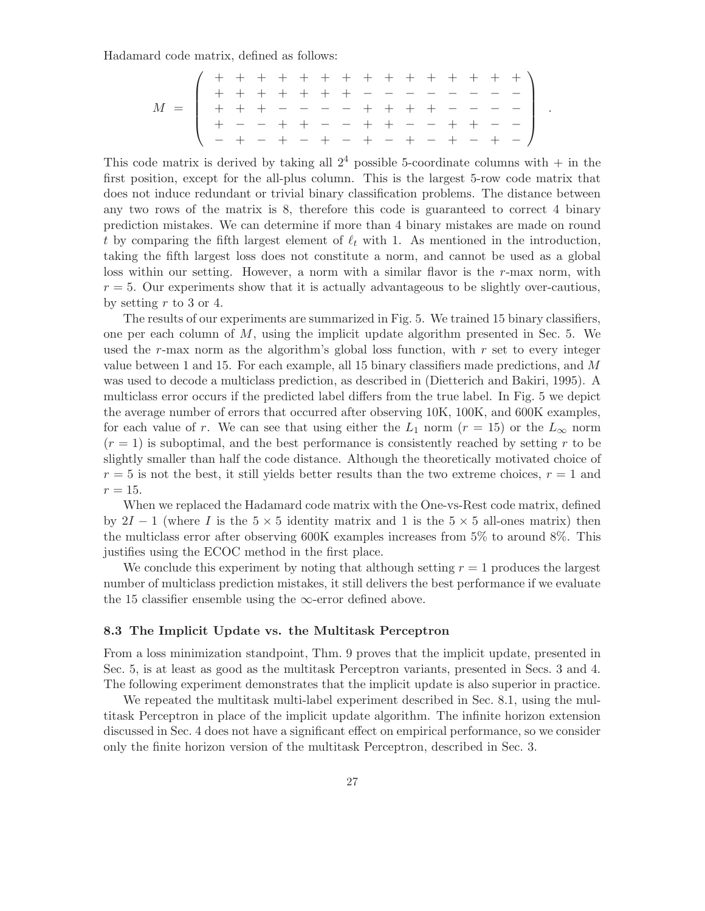Hadamard code matrix, defined as follows:

M = + + + + + + + + + + + + + + + + + + + + + + − − − − − − − − + + + − − − − + + + + − − − − + − − + + − − + + − − + + − − − + − + − + − + − + − + − + − .

This code matrix is derived by taking all  $2<sup>4</sup>$  possible 5-coordinate columns with  $+$  in the first position, except for the all-plus column. This is the largest 5-row code matrix that does not induce redundant or trivial binary classification problems. The distance between any two rows of the matrix is 8, therefore this code is guaranteed to correct 4 binary prediction mistakes. We can determine if more than 4 binary mistakes are made on round t by comparing the fifth largest element of  $\ell_t$  with 1. As mentioned in the introduction, taking the fifth largest loss does not constitute a norm, and cannot be used as a global loss within our setting. However, a norm with a similar flavor is the r-max norm, with  $r = 5$ . Our experiments show that it is actually advantageous to be slightly over-cautious, by setting  $r$  to 3 or 4.

The results of our experiments are summarized in Fig. 5. We trained 15 binary classifiers, one per each column of  $M$ , using the implicit update algorithm presented in Sec. 5. We used the r-max norm as the algorithm's global loss function, with  $r$  set to every integer value between 1 and 15. For each example, all 15 binary classifiers made predictions, and M was used to decode a multiclass prediction, as described in (Dietterich and Bakiri, 1995). A multiclass error occurs if the predicted label differs from the true label. In Fig. 5 we depict the average number of errors that occurred after observing 10K, 100K, and 600K examples, for each value of r. We can see that using either the  $L_1$  norm  $(r = 15)$  or the  $L_{\infty}$  norm  $(r = 1)$  is suboptimal, and the best performance is consistently reached by setting r to be slightly smaller than half the code distance. Although the theoretically motivated choice of  $r = 5$  is not the best, it still yields better results than the two extreme choices,  $r = 1$  and  $r = 15$ .

When we replaced the Hadamard code matrix with the One-vs-Rest code matrix, defined by  $2I - 1$  (where I is the  $5 \times 5$  identity matrix and 1 is the  $5 \times 5$  all-ones matrix) then the multiclass error after observing 600K examples increases from 5% to around 8%. This justifies using the ECOC method in the first place.

We conclude this experiment by noting that although setting  $r = 1$  produces the largest number of multiclass prediction mistakes, it still delivers the best performance if we evaluate the 15 classifier ensemble using the  $\infty$ -error defined above.

#### 8.3 The Implicit Update vs. the Multitask Perceptron

From a loss minimization standpoint, Thm. 9 proves that the implicit update, presented in Sec. 5, is at least as good as the multitask Perceptron variants, presented in Secs. 3 and 4. The following experiment demonstrates that the implicit update is also superior in practice.

We repeated the multitask multi-label experiment described in Sec. 8.1, using the multitask Perceptron in place of the implicit update algorithm. The infinite horizon extension discussed in Sec. 4 does not have a significant effect on empirical performance, so we consider only the finite horizon version of the multitask Perceptron, described in Sec. 3.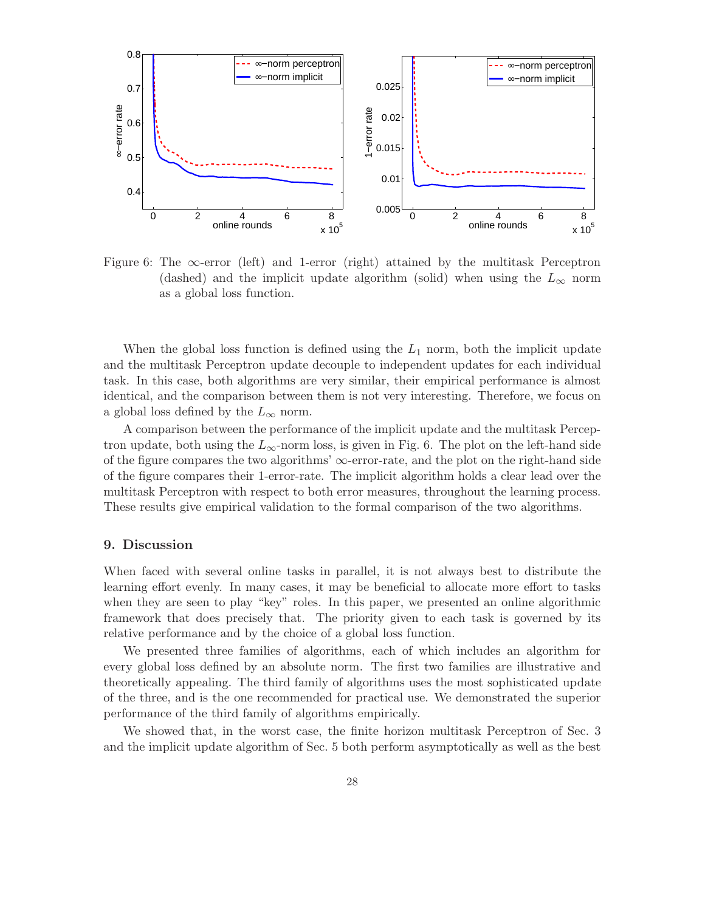

Figure 6: The  $\infty$ -error (left) and 1-error (right) attained by the multitask Perceptron (dashed) and the implicit update algorithm (solid) when using the  $L_{\infty}$  norm as a global loss function.

When the global loss function is defined using the  $L_1$  norm, both the implicit update and the multitask Perceptron update decouple to independent updates for each individual task. In this case, both algorithms are very similar, their empirical performance is almost identical, and the comparison between them is not very interesting. Therefore, we focus on a global loss defined by the  $L_{\infty}$  norm.

A comparison between the performance of the implicit update and the multitask Perceptron update, both using the  $L_{\infty}$ -norm loss, is given in Fig. 6. The plot on the left-hand side of the figure compares the two algorithms'  $\infty$ -error-rate, and the plot on the right-hand side of the figure compares their 1-error-rate. The implicit algorithm holds a clear lead over the multitask Perceptron with respect to both error measures, throughout the learning process. These results give empirical validation to the formal comparison of the two algorithms.

#### 9. Discussion

When faced with several online tasks in parallel, it is not always best to distribute the learning effort evenly. In many cases, it may be beneficial to allocate more effort to tasks when they are seen to play "key" roles. In this paper, we presented an online algorithmic framework that does precisely that. The priority given to each task is governed by its relative performance and by the choice of a global loss function.

We presented three families of algorithms, each of which includes an algorithm for every global loss defined by an absolute norm. The first two families are illustrative and theoretically appealing. The third family of algorithms uses the most sophisticated update of the three, and is the one recommended for practical use. We demonstrated the superior performance of the third family of algorithms empirically.

We showed that, in the worst case, the finite horizon multitask Perceptron of Sec. 3 and the implicit update algorithm of Sec. 5 both perform asymptotically as well as the best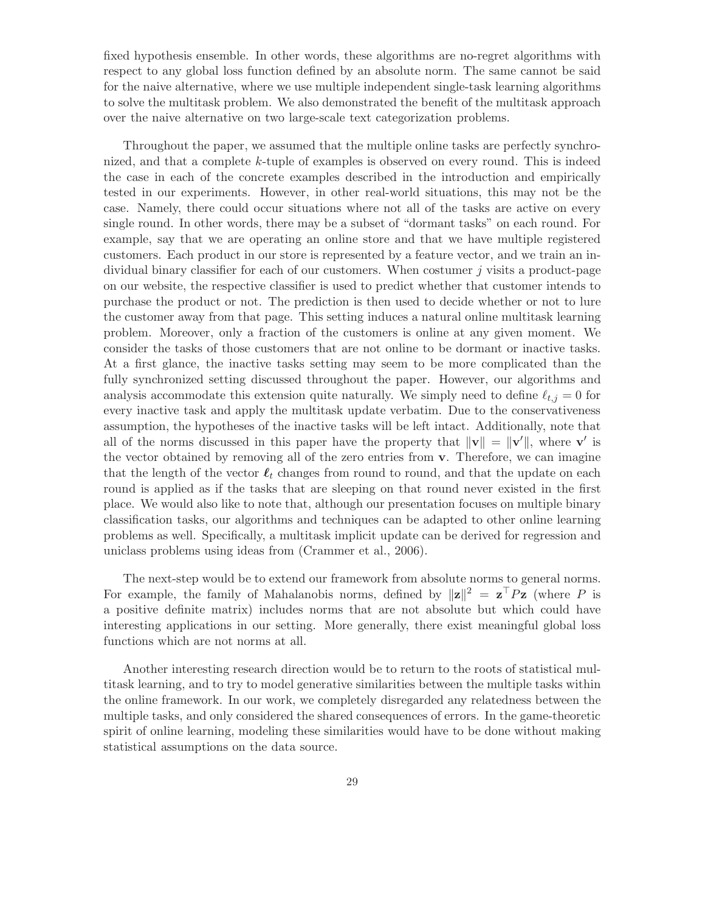fixed hypothesis ensemble. In other words, these algorithms are no-regret algorithms with respect to any global loss function defined by an absolute norm. The same cannot be said for the naive alternative, where we use multiple independent single-task learning algorithms to solve the multitask problem. We also demonstrated the benefit of the multitask approach over the naive alternative on two large-scale text categorization problems.

Throughout the paper, we assumed that the multiple online tasks are perfectly synchronized, and that a complete k-tuple of examples is observed on every round. This is indeed the case in each of the concrete examples described in the introduction and empirically tested in our experiments. However, in other real-world situations, this may not be the case. Namely, there could occur situations where not all of the tasks are active on every single round. In other words, there may be a subset of "dormant tasks" on each round. For example, say that we are operating an online store and that we have multiple registered customers. Each product in our store is represented by a feature vector, and we train an individual binary classifier for each of our customers. When costumer j visits a product-page on our website, the respective classifier is used to predict whether that customer intends to purchase the product or not. The prediction is then used to decide whether or not to lure the customer away from that page. This setting induces a natural online multitask learning problem. Moreover, only a fraction of the customers is online at any given moment. We consider the tasks of those customers that are not online to be dormant or inactive tasks. At a first glance, the inactive tasks setting may seem to be more complicated than the fully synchronized setting discussed throughout the paper. However, our algorithms and analysis accommodate this extension quite naturally. We simply need to define  $\ell_{t,j} = 0$  for every inactive task and apply the multitask update verbatim. Due to the conservativeness assumption, the hypotheses of the inactive tasks will be left intact. Additionally, note that all of the norms discussed in this paper have the property that  $\|\mathbf{v}\| = \|\mathbf{v}'\|$ , where  $\mathbf{v}'$  is the vector obtained by removing all of the zero entries from v. Therefore, we can imagine that the length of the vector  $\ell_t$  changes from round to round, and that the update on each round is applied as if the tasks that are sleeping on that round never existed in the first place. We would also like to note that, although our presentation focuses on multiple binary classification tasks, our algorithms and techniques can be adapted to other online learning problems as well. Specifically, a multitask implicit update can be derived for regression and uniclass problems using ideas from (Crammer et al., 2006).

The next-step would be to extend our framework from absolute norms to general norms. For example, the family of Mahalanobis norms, defined by  $||\mathbf{z}||^2 = \mathbf{z}^\top P \mathbf{z}$  (where P is a positive definite matrix) includes norms that are not absolute but which could have interesting applications in our setting. More generally, there exist meaningful global loss functions which are not norms at all.

Another interesting research direction would be to return to the roots of statistical multitask learning, and to try to model generative similarities between the multiple tasks within the online framework. In our work, we completely disregarded any relatedness between the multiple tasks, and only considered the shared consequences of errors. In the game-theoretic spirit of online learning, modeling these similarities would have to be done without making statistical assumptions on the data source.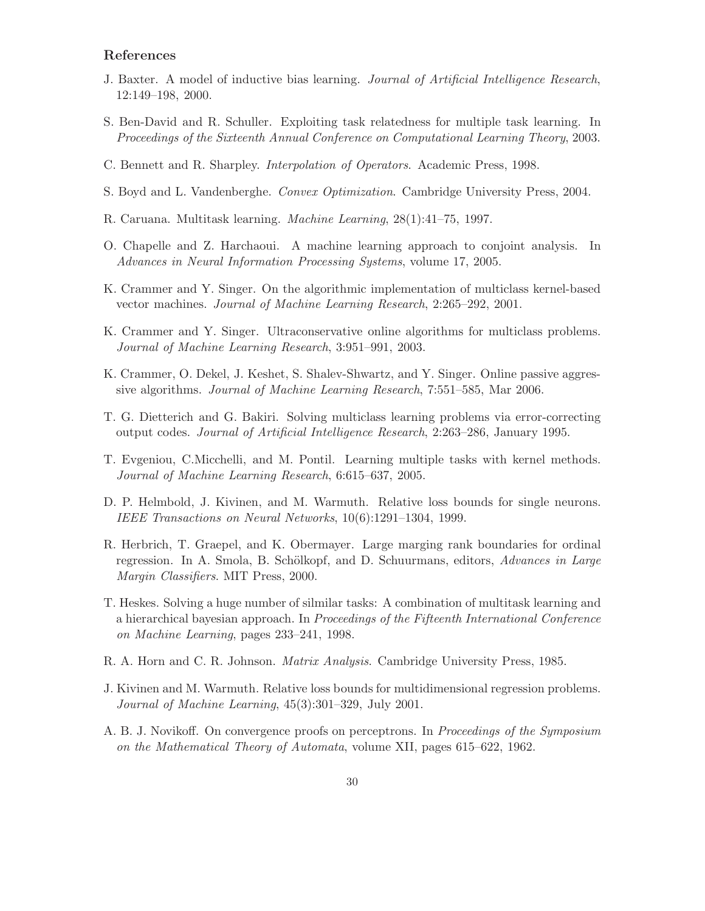# References

- J. Baxter. A model of inductive bias learning. Journal of Artificial Intelligence Research, 12:149–198, 2000.
- S. Ben-David and R. Schuller. Exploiting task relatedness for multiple task learning. In Proceedings of the Sixteenth Annual Conference on Computational Learning Theory, 2003.
- C. Bennett and R. Sharpley. Interpolation of Operators. Academic Press, 1998.
- S. Boyd and L. Vandenberghe. Convex Optimization. Cambridge University Press, 2004.
- R. Caruana. Multitask learning. Machine Learning, 28(1):41–75, 1997.
- O. Chapelle and Z. Harchaoui. A machine learning approach to conjoint analysis. In Advances in Neural Information Processing Systems, volume 17, 2005.
- K. Crammer and Y. Singer. On the algorithmic implementation of multiclass kernel-based vector machines. Journal of Machine Learning Research, 2:265–292, 2001.
- K. Crammer and Y. Singer. Ultraconservative online algorithms for multiclass problems. Journal of Machine Learning Research, 3:951–991, 2003.
- K. Crammer, O. Dekel, J. Keshet, S. Shalev-Shwartz, and Y. Singer. Online passive aggressive algorithms. Journal of Machine Learning Research, 7:551–585, Mar 2006.
- T. G. Dietterich and G. Bakiri. Solving multiclass learning problems via error-correcting output codes. Journal of Artificial Intelligence Research, 2:263–286, January 1995.
- T. Evgeniou, C.Micchelli, and M. Pontil. Learning multiple tasks with kernel methods. Journal of Machine Learning Research, 6:615–637, 2005.
- D. P. Helmbold, J. Kivinen, and M. Warmuth. Relative loss bounds for single neurons. IEEE Transactions on Neural Networks, 10(6):1291–1304, 1999.
- R. Herbrich, T. Graepel, and K. Obermayer. Large marging rank boundaries for ordinal regression. In A. Smola, B. Schölkopf, and D. Schuurmans, editors, Advances in Large Margin Classifiers. MIT Press, 2000.
- T. Heskes. Solving a huge number of silmilar tasks: A combination of multitask learning and a hierarchical bayesian approach. In Proceedings of the Fifteenth International Conference on Machine Learning, pages 233–241, 1998.
- R. A. Horn and C. R. Johnson. *Matrix Analysis*. Cambridge University Press, 1985.
- J. Kivinen and M. Warmuth. Relative loss bounds for multidimensional regression problems. Journal of Machine Learning, 45(3):301–329, July 2001.
- A. B. J. Novikoff. On convergence proofs on perceptrons. In *Proceedings of the Symposium* on the Mathematical Theory of Automata, volume XII, pages 615–622, 1962.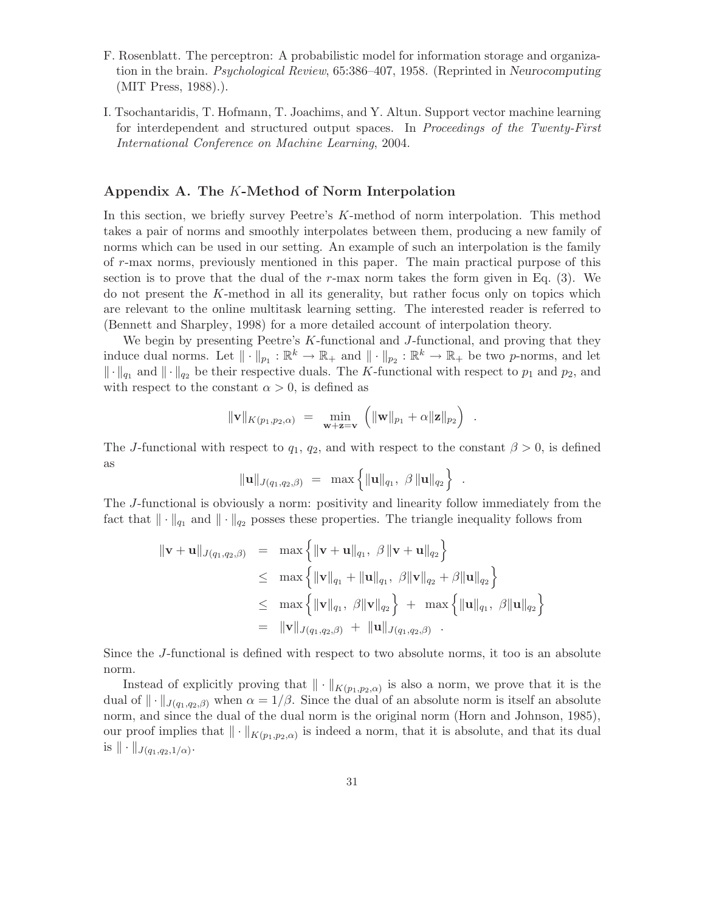- F. Rosenblatt. The perceptron: A probabilistic model for information storage and organization in the brain. Psychological Review, 65:386–407, 1958. (Reprinted in Neurocomputing (MIT Press, 1988).).
- I. Tsochantaridis, T. Hofmann, T. Joachims, and Y. Altun. Support vector machine learning for interdependent and structured output spaces. In Proceedings of the Twenty-First International Conference on Machine Learning, 2004.

#### Appendix A. The K-Method of Norm Interpolation

In this section, we briefly survey Peetre's K-method of norm interpolation. This method takes a pair of norms and smoothly interpolates between them, producing a new family of norms which can be used in our setting. An example of such an interpolation is the family of r-max norms, previously mentioned in this paper. The main practical purpose of this section is to prove that the dual of the  $r$ -max norm takes the form given in Eq.  $(3)$ . We do not present the K-method in all its generality, but rather focus only on topics which are relevant to the online multitask learning setting. The interested reader is referred to (Bennett and Sharpley, 1998) for a more detailed account of interpolation theory.

We begin by presenting Peetre's K-functional and J-functional, and proving that they induce dual norms. Let  $\|\cdot\|_{p_1}: \mathbb{R}^k \to \mathbb{R}_+$  and  $\|\cdot\|_{p_2}: \mathbb{R}^k \to \mathbb{R}_+$  be two p-norms, and let  $\|\cdot\|_{q_1}$  and  $\|\cdot\|_{q_2}$  be their respective duals. The K-functional with respect to  $p_1$  and  $p_2$ , and with respect to the constant  $\alpha > 0$ , is defined as

$$
\|\mathbf{v}\|_{K(p_1,p_2,\alpha)} = \min_{\mathbf{w}+\mathbf{z}=\mathbf{v}} \left( \|\mathbf{w}\|_{p_1} + \alpha \|\mathbf{z}\|_{p_2} \right) .
$$

The J-functional with respect to  $q_1, q_2$ , and with respect to the constant  $\beta > 0$ , is defined as

$$
\|\mathbf{u}\|_{J(q_1,q_2,\beta)} = \max \left\{ \|\mathbf{u}\|_{q_1}, \beta \|\mathbf{u}\|_{q_2} \right\} .
$$

The J-functional is obviously a norm: positivity and linearity follow immediately from the fact that  $\|\cdot\|_{q_1}$  and  $\|\cdot\|_{q_2}$  posses these properties. The triangle inequality follows from

$$
\|\mathbf{v} + \mathbf{u}\|_{J(q_1, q_2, \beta)} = \max \left\{ \|\mathbf{v} + \mathbf{u}\|_{q_1}, \ \beta \|\mathbf{v} + \mathbf{u}\|_{q_2} \right\}
$$
  
\n
$$
\leq \max \left\{ \|\mathbf{v}\|_{q_1} + \|\mathbf{u}\|_{q_1}, \ \beta \|\mathbf{v}\|_{q_2} + \beta \|\mathbf{u}\|_{q_2} \right\}
$$
  
\n
$$
\leq \max \left\{ \|\mathbf{v}\|_{q_1}, \ \beta \|\mathbf{v}\|_{q_2} \right\} + \max \left\{ \|\mathbf{u}\|_{q_1}, \ \beta \|\mathbf{u}\|_{q_2} \right\}
$$
  
\n
$$
= \|\mathbf{v}\|_{J(q_1, q_2, \beta)} + \|\mathbf{u}\|_{J(q_1, q_2, \beta)}.
$$

Since the J-functional is defined with respect to two absolute norms, it too is an absolute norm.

Instead of explicitly proving that  $\|\cdot\|_{K(p_1,p_2,\alpha)}$  is also a norm, we prove that it is the dual of  $\|\cdot\|_{J(q_1,q_2,\beta)}$  when  $\alpha=1/\beta$ . Since the dual of an absolute norm is itself an absolute norm, and since the dual of the dual norm is the original norm (Horn and Johnson, 1985), our proof implies that  $\|\cdot\|_{K(p_1,p_2,\alpha)}$  is indeed a norm, that it is absolute, and that its dual is  $\|\cdot\|_{J(q_1,q_2,1/\alpha)}$ .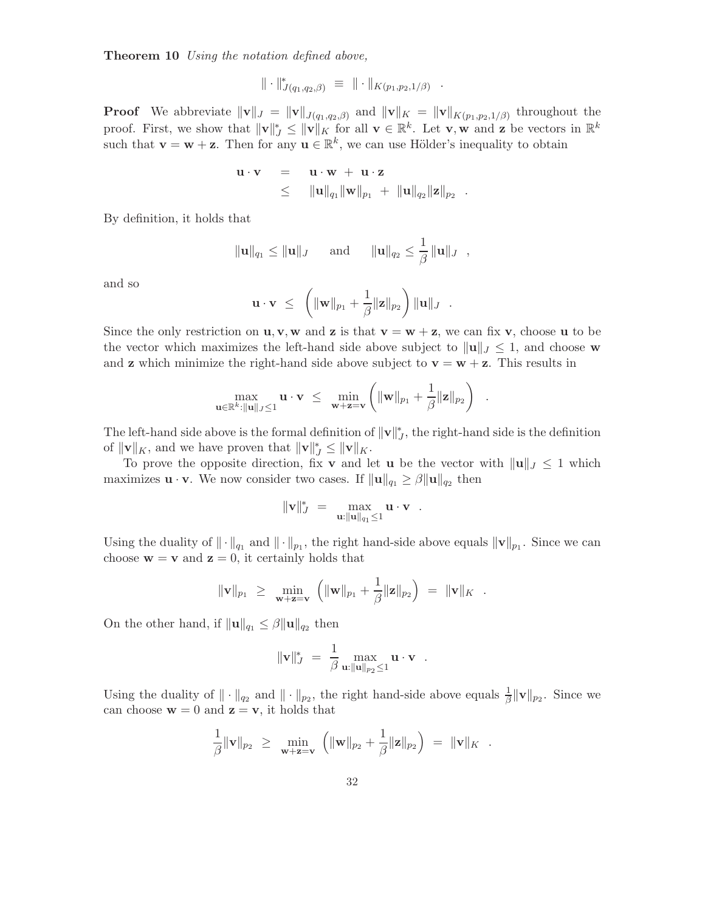Theorem 10 Using the notation defined above,

$$
\|\cdot\|_{J(q_1,q_2,\beta)}^* \equiv \|\cdot\|_{K(p_1,p_2,1/\beta)} .
$$

**Proof** We abbreviate  $\|\mathbf{v}\|_J = \|\mathbf{v}\|_{J(q_1,q_2,\beta)}$  and  $\|\mathbf{v}\|_K = \|\mathbf{v}\|_{K(p_1,p_2,1/\beta)}$  throughout the proof. First, we show that  $||\mathbf{v}||_J^* \le ||\mathbf{v}||_K$  for all  $\mathbf{v} \in \mathbb{R}^k$ . Let  $\mathbf{v}, \mathbf{w}$  and  $\mathbf{z}$  be vectors in  $\mathbb{R}^k$ such that  $\mathbf{v} = \mathbf{w} + \mathbf{z}$ . Then for any  $\mathbf{u} \in \mathbb{R}^k$ , we can use Hölder's inequality to obtain

$$
\begin{array}{rcl}\mathbf u \cdot \mathbf v &=& \mathbf u \cdot \mathbf w\ + \ \mathbf u \cdot \mathbf z \\ &\leq& \|\mathbf u\|_{q_1}\|\mathbf w\|_{p_1}\ +\ \|\mathbf u\|_{q_2}\|\mathbf z\|_{p_2}\enspace.\end{array}
$$

By definition, it holds that

$$
\|\mathbf{u}\|_{q_1} \le \|\mathbf{u}\|_J
$$
 and  $\|\mathbf{u}\|_{q_2} \le \frac{1}{\beta} \|\mathbf{u}\|_J$ ,

and so

$$
\mathbf{u} \cdot \mathbf{v} \ \leq \ \left( \|\mathbf{w}\|_{p_1} + \frac{1}{\beta} \|\mathbf{z}\|_{p_2} \right) \|\mathbf{u}\|_{J} \ .
$$

Since the only restriction on  $\mathbf{u}, \mathbf{v}, \mathbf{w}$  and **z** is that  $\mathbf{v} = \mathbf{w} + \mathbf{z}$ , we can fix **v**, choose **u** to be the vector which maximizes the left-hand side above subject to  $\|\mathbf{u}\|_{J} \leq 1$ , and choose w and **z** which minimize the right-hand side above subject to  $\mathbf{v} = \mathbf{w} + \mathbf{z}$ . This results in

$$
\max_{\mathbf{u}\in\mathbb{R}^k:\|\mathbf{u}\|_J\leq 1}\mathbf{u}\cdot\mathbf{v} \ \leq \ \ \min_{\mathbf{w}+\mathbf{z}=\mathbf{v}}\left(\|\mathbf{w}\|_{p_1}+\frac{1}{\beta}\|\mathbf{z}\|_{p_2}\right)
$$

.

The left-hand side above is the formal definition of  $||\mathbf{v}||_J^*$ , the right-hand side is the definition of  $\|\mathbf{v}\|_K$ , and we have proven that  $\|\mathbf{v}\|_J^* \leq \|\mathbf{v}\|_K$ .

To prove the opposite direction, fix v and let u be the vector with  $\|\mathbf{u}\|_{J} \leq 1$  which maximizes  $\mathbf{u} \cdot \mathbf{v}$ . We now consider two cases. If  $\|\mathbf{u}\|_{q_1} \geq \beta \|\mathbf{u}\|_{q_2}$  then

$$
\|\mathbf{v}\|_{J}^* = \max_{\mathbf{u}: \|\mathbf{u}\|_{q_1} \leq 1} \mathbf{u} \cdot \mathbf{v} .
$$

Using the duality of  $\|\cdot\|_{q_1}$  and  $\|\cdot\|_{p_1}$ , the right hand-side above equals  $\|\mathbf{v}\|_{p_1}$ . Since we can choose  $\mathbf{w} = \mathbf{v}$  and  $\mathbf{z} = 0$ , it certainly holds that

$$
\|\mathbf{v}\|_{p_1} \ \geq \ \min_{\mathbf{w}+\mathbf{z}=\mathbf{v}} \ \left( \|\mathbf{w}\|_{p_1} + \frac{1}{\beta} \|\mathbf{z}\|_{p_2} \right) \ = \ \|\mathbf{v}\|_{K} \ \ .
$$

On the other hand, if  $\|\mathbf{u}\|_{q_1} \leq \beta \|\mathbf{u}\|_{q_2}$  then

$$
\|\mathbf{v}\|_{J}^{*} = \frac{1}{\beta} \max_{\mathbf{u}: \|\mathbf{u}\|_{p_2} \leq 1} \mathbf{u} \cdot \mathbf{v} .
$$

Using the duality of  $\|\cdot\|_{q_2}$  and  $\|\cdot\|_{p_2}$ , the right hand-side above equals  $\frac{1}{\beta} \|\mathbf{v}\|_{p_2}$ . Since we can choose  $\mathbf{w} = 0$  and  $\mathbf{z} = \mathbf{v}$ , it holds that

$$
\frac{1}{\beta} \|\mathbf{v}\|_{p_2} \ \geq \ \min_{\mathbf{w}+\mathbf{z}=\mathbf{v}} \ \left( \|\mathbf{w}\|_{p_2} + \frac{1}{\beta} \|\mathbf{z}\|_{p_2} \right) \ = \ \|\mathbf{v}\|_{K} \ .
$$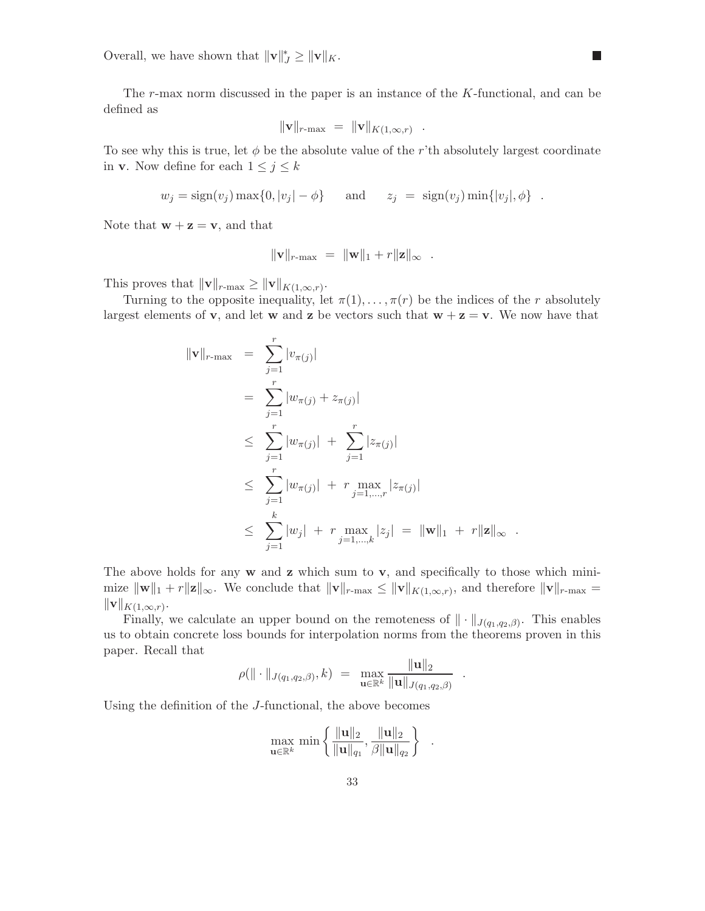Overall, we have shown that  $\|\mathbf{v}\|_{J}^* \geq \|\mathbf{v}\|_{K}$ .

The r-max norm discussed in the paper is an instance of the K-functional, and can be defined as

 $\mathcal{L}_{\mathcal{A}}$ 

$$
\|\mathbf{v}\|_{r\text{-max}} = \|\mathbf{v}\|_{K(1,\infty,r)}.
$$

To see why this is true, let  $\phi$  be the absolute value of the r'th absolutely largest coordinate in **v**. Now define for each  $1 \leq j \leq k$ 

$$
w_j = sign(v_j) \max\{0, |v_j| - \phi\} \quad \text{and} \quad z_j = sign(v_j) \min\{|v_j|, \phi\} .
$$

Note that  $\mathbf{w} + \mathbf{z} = \mathbf{v}$ , and that

$$
\|\mathbf{v}\|_{r\text{-max}} = \|\mathbf{w}\|_1 + r\|\mathbf{z}\|_{\infty} .
$$

This proves that  $\|\mathbf{v}\|_{r=\max} \geq \|\mathbf{v}\|_{K(1,\infty,r)}$ .

Turning to the opposite inequality, let  $\pi(1), \ldots, \pi(r)$  be the indices of the r absolutely largest elements of **v**, and let **w** and **z** be vectors such that  $w + z = v$ . We now have that

$$
\|\mathbf{v}\|_{r-\max} = \sum_{j=1}^{r} |v_{\pi(j)}|
$$
  
\n
$$
= \sum_{j=1}^{r} |w_{\pi(j)} + z_{\pi(j)}|
$$
  
\n
$$
\leq \sum_{j=1}^{r} |w_{\pi(j)}| + \sum_{j=1}^{r} |z_{\pi(j)}|
$$
  
\n
$$
\leq \sum_{j=1}^{r} |w_{\pi(j)}| + r \max_{j=1,\dots,r} |z_{\pi(j)}|
$$
  
\n
$$
\leq \sum_{j=1}^{k} |w_j| + r \max_{j=1,\dots,k} |z_j| = \|\mathbf{w}\|_1 + r \|\mathbf{z}\|_{\infty}.
$$

The above holds for any  $w$  and  $z$  which sum to  $v$ , and specifically to those which minimize  $\|\mathbf{w}\|_1 + r\|\mathbf{z}\|_{\infty}$ . We conclude that  $\|\mathbf{v}\|_{r-\max} \leq \|\mathbf{v}\|_{K(1,\infty,r)}$ , and therefore  $\|\mathbf{v}\|_{r-\max} =$  $\|\mathbf{v}\|_{K(1,\infty,r)}.$ 

Finally, we calculate an upper bound on the remoteness of  $\|\cdot\|_{J(q_1,q_2,\beta)}$ . This enables us to obtain concrete loss bounds for interpolation norms from the theorems proven in this paper. Recall that

$$
\rho(\|\cdot\|_{J(q_1,q_2,\beta)},k) = \max_{\mathbf{u}\in\mathbb{R}^k} \frac{\|\mathbf{u}\|_2}{\|\mathbf{u}\|_{J(q_1,q_2,\beta)}}
$$

.

Using the definition of the J-functional, the above becomes

$$
\max_{\mathbf{u}\in\mathbb{R}^k} \min\left\{ \frac{\|\mathbf{u}\|_2}{\|\mathbf{u}\|_{q_1}}, \frac{\|\mathbf{u}\|_2}{\beta \|\mathbf{u}\|_{q_2}} \right\} .
$$